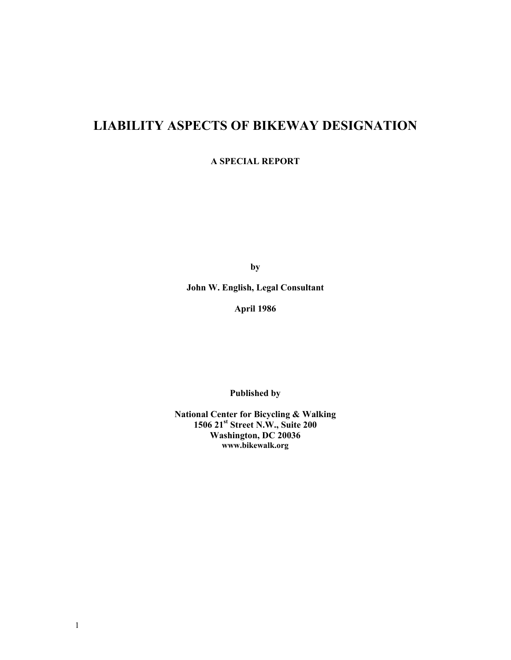# **LIABILITY ASPECTS OF BIKEWAY DESIGNATION**

**A SPECIAL REPORT** 

**by** 

**John W. English, Legal Consultant** 

**April 1986** 

**Published by** 

**National Center for Bicycling & Walking 1506 21st Street N.W., Suite 200 Washington, DC 20036 www.bikewalk.org**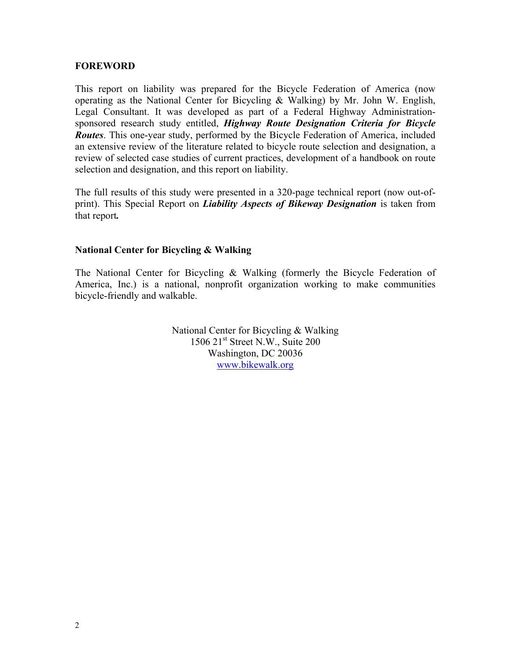### **FOREWORD**

This report on liability was prepared for the Bicycle Federation of America (now operating as the National Center for Bicycling & Walking) by Mr. John W. English, Legal Consultant. It was developed as part of a Federal Highway Administrationsponsored research study entitled, *Highway Route Designation Criteria for Bicycle Routes*. This one-year study, performed by the Bicycle Federation of America, included an extensive review of the literature related to bicycle route selection and designation, a review of selected case studies of current practices, development of a handbook on route selection and designation, and this report on liability.

The full results of this study were presented in a 320-page technical report (now out-ofprint). This Special Report on *Liability Aspects of Bikeway Designation* is taken from that report*.*

## **National Center for Bicycling & Walking**

The National Center for Bicycling & Walking (formerly the Bicycle Federation of America, Inc.) is a national, nonprofit organization working to make communities bicycle-friendly and walkable.

> National Center for Bicycling & Walking  $1506$   $21<sup>st</sup>$  Street N.W., Suite 200 Washington, DC 20036 [www.bikewalk.org](http://www.bikefed.org/)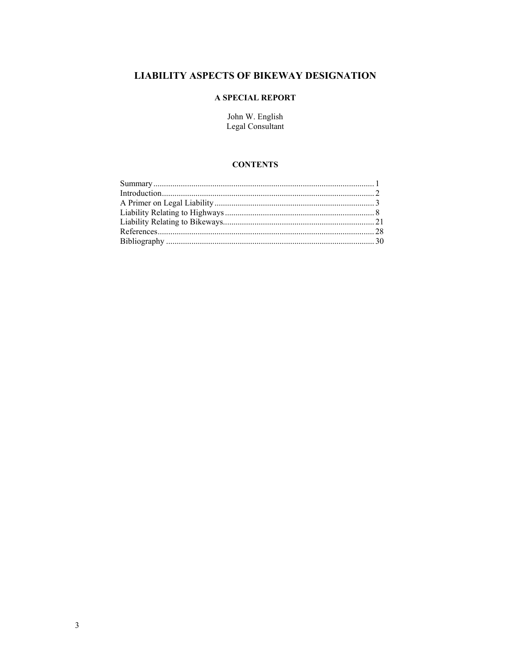# **LIABILITY ASPECTS OF BIKEWAY DESIGNATION**

### A SPECIAL REPORT

John W. English<br>Legal Consultant

### **CONTENTS**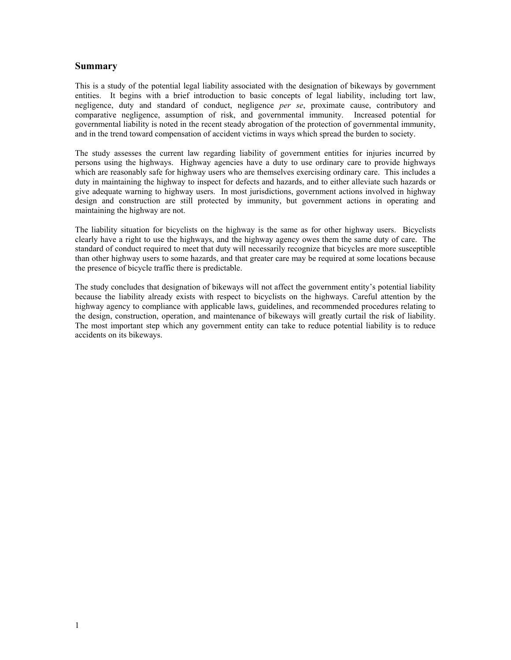### **Summary**

This is a study of the potential legal liability associated with the designation of bikeways by government entities. It begins with a brief introduction to basic concepts of legal liability, including tort law, negligence, duty and standard of conduct, negligence *per se*, proximate cause, contributory and comparative negligence, assumption of risk, and governmental immunity. Increased potential for governmental liability is noted in the recent steady abrogation of the protection of governmental immunity, and in the trend toward compensation of accident victims in ways which spread the burden to society.

The study assesses the current law regarding liability of government entities for injuries incurred by persons using the highways. Highway agencies have a duty to use ordinary care to provide highways which are reasonably safe for highway users who are themselves exercising ordinary care. This includes a duty in maintaining the highway to inspect for defects and hazards, and to either alleviate such hazards or give adequate warning to highway users. In most jurisdictions, government actions involved in highway design and construction are still protected by immunity, but government actions in operating and maintaining the highway are not.

The liability situation for bicyclists on the highway is the same as for other highway users. Bicyclists clearly have a right to use the highways, and the highway agency owes them the same duty of care. The standard of conduct required to meet that duty will necessarily recognize that bicycles are more susceptible than other highway users to some hazards, and that greater care may be required at some locations because the presence of bicycle traffic there is predictable.

The study concludes that designation of bikeways will not affect the government entity's potential liability because the liability already exists with respect to bicyclists on the highways. Careful attention by the highway agency to compliance with applicable laws, guidelines, and recommended procedures relating to the design, construction, operation, and maintenance of bikeways will greatly curtail the risk of liability. The most important step which any government entity can take to reduce potential liability is to reduce accidents on its bikeways.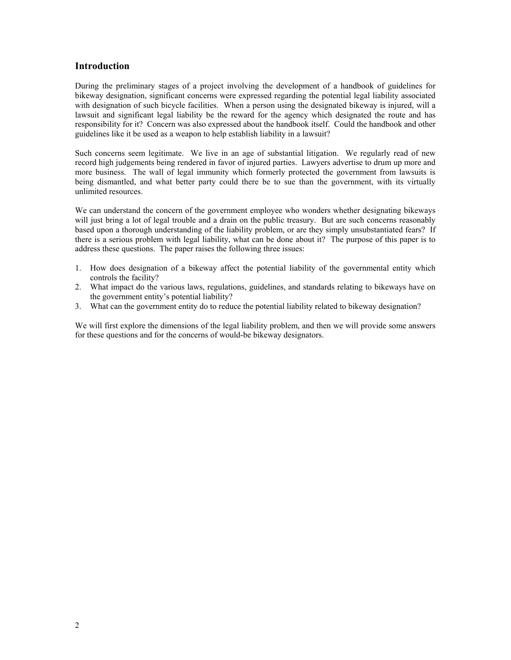### **Introduction**

During the preliminary stages of a project involving the development of a handbook of guidelines for bikeway designation, significant concerns were expressed regarding the potential legal liability associated with designation of such bicycle facilities. When a person using the designated bikeway is injured, will a lawsuit and significant legal liability be the reward for the agency which designated the route and has responsibility for it? Concern was also expressed about the handbook itself. Could the handbook and other guidelines like it be used as a weapon to help establish liability in a lawsuit?

Such concerns seem legitimate. We live in an age of substantial litigation. We regularly read of new record high judgements being rendered in favor of injured parties. Lawyers advertise to drum up more and more business. The wall of legal immunity which formerly protected the government from lawsuits is being dismantled, and what better party could there be to sue than the government, with its virtually unlimited resources.

We can understand the concern of the government employee who wonders whether designating bikeways will just bring a lot of legal trouble and a drain on the public treasury. But are such concerns reasonably based upon a thorough understanding of the liability problem, or are they simply unsubstantiated fears? If there is a serious problem with legal liability, what can be done about it? The purpose of this paper is to address these questions. The paper raises the following three issues:

- 1. How does designation of a bikeway affect the potential liability of the governmental entity which controls the facility?
- 2. What impact do the various laws, regulations, guidelines, and standards relating to bikeways have on the government entity's potential liability?
- 3. What can the government entity do to reduce the potential liability related to bikeway designation?

We will first explore the dimensions of the legal liability problem, and then we will provide some answers for these questions and for the concerns of would-be bikeway designators.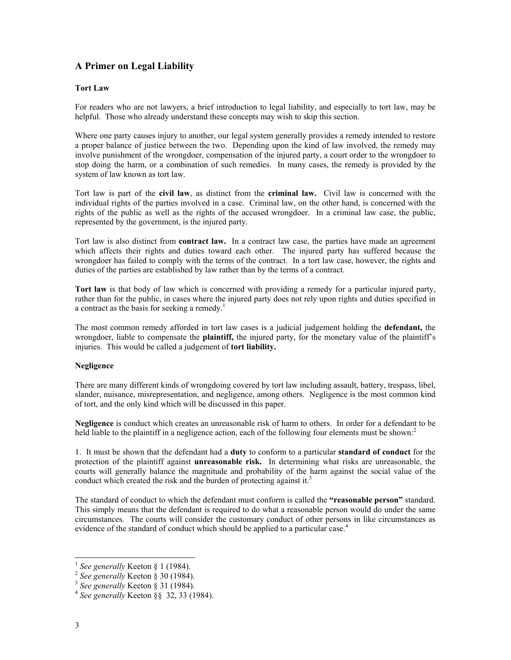## **A Primer on Legal Liability**

### **Tort Law**

For readers who are not lawyers, a brief introduction to legal liability, and especially to tort law, may be helpful. Those who already understand these concepts may wish to skip this section.

Where one party causes injury to another, our legal system generally provides a remedy intended to restore a proper balance of justice between the two. Depending upon the kind of law involved, the remedy may involve punishment of the wrongdoer, compensation of the injured party, a court order to the wrongdoer to stop doing the harm, or a combination of such remedies. In many cases, the remedy is provided by the system of law known as tort law.

Tort law is part of the **civil law**, as distinct from the **criminal law.** Civil law is concerned with the individual rights of the parties involved in a case. Criminal law, on the other hand, is concerned with the rights of the public as well as the rights of the accused wrongdoer. In a criminal law case, the public, represented by the government, is the injured party.

Tort law is also distinct from **contract law.** In a contract law case, the parties have made an agreement which affects their rights and duties toward each other. The injured party has suffered because the wrongdoer has failed to comply with the terms of the contract. In a tort law case, however, the rights and duties of the parties are established by law rather than by the terms of a contract.

**Tort law** is that body of law which is concerned with providing a remedy for a particular injured party, rather than for the public, in cases where the injured party does not rely upon rights and duties specified in a contract as the basis for seeking a remedy.<sup>1</sup>

The most common remedy afforded in tort law cases is a judicial judgement holding the **defendant,** the wrongdoer, liable to compensate the **plaintiff,** the injured party, for the monetary value of the plaintiff's injuries. This would be called a judgement of **tort liability.**

### **Negligence**

There are many different kinds of wrongdoing covered by tort law including assault, battery, trespass, libel, slander, nuisance, misrepresentation, and negligence, among others. Negligence is the most common kind of tort, and the only kind which will be discussed in this paper.

**Negligence** is conduct which creates an unreasonable risk of harm to others. In order for a defendant to be held liable to the plaintiff in a negligence action, each of the following four elements must be shown:

1. It must be shown that the defendant had a **duty** to conform to a particular **standard of conduct** for the protection of the plaintiff against **unreasonable risk.** In determining what risks are unreasonable, the courts will generally balance the magnitude and probability of the harm against the social value of the conduct which created the risk and the burden of protecting against it.<sup>[3](#page-5-2)</sup>

The standard of conduct to which the defendant must conform is called the **"reasonable person"** standard. This simply means that the defendant is required to do what a reasonable person would do under the same circumstances. The courts will consider the customary conduct of other persons in like circumstances as evidence of the standard of conduct which should be applied to a particular case.<sup>4</sup>

<span id="page-5-0"></span>

<span id="page-5-2"></span><span id="page-5-1"></span>

<sup>1</sup> *See generally* Keeton § 1 (1984). 2 *See generally* Keeton § 30 (1984). 3 *See generally* Keeton § 31 (1984). 4 *See generally* Keeton §§ 32, 33 (1984).

<span id="page-5-3"></span>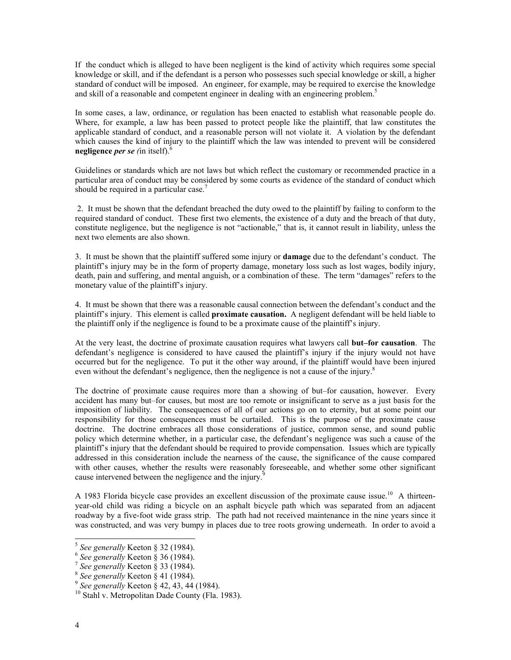If the conduct which is alleged to have been negligent is the kind of activity which requires some special knowledge or skill, and if the defendant is a person who possesses such special knowledge or skill, a higher standard of conduct will be imposed. An engineer, for example, may be required to exercise the knowledge and skill of a reasonable and competent engineer in dealing with an engineering problem. [5](#page-6-0)

In some cases, a law, ordinance, or regulation has been enacted to establish what reasonable people do. Where, for example, a law has been passed to protect people like the plaintiff, that law constitutes the applicable standard of conduct, and a reasonable person will not violate it. A violation by the defendant which causes the kind of injury to the plaintiff which the law was intended to prevent will be considered **negligence** *per se (*in itself)[.6](#page-6-1)

Guidelines or standards which are not laws but which reflect the customary or recommended practice in a particular area of conduct may be considered by some courts as evidence of the standard of conduct which should be required in a particular case.<sup>7</sup>

2. It must be shown that the defendant breached the duty owed to the plaintiff by failing to conform to the required standard of conduct. These first two elements, the existence of a duty and the breach of that duty, constitute negligence, but the negligence is not "actionable," that is, it cannot result in liability, unless the next two elements are also shown.

3. It must be shown that the plaintiff suffered some injury or **damage** due to the defendant's conduct. The plaintiff's injury may be in the form of property damage, monetary loss such as lost wages, bodily injury, death, pain and suffering, and mental anguish, or a combination of these. The term "damages" refers to the monetary value of the plaintiff's injury.

4. It must be shown that there was a reasonable causal connection between the defendant's conduct and the plaintiff's injury. This element is called **proximate causation.** A negligent defendant will be held liable to the plaintiff only if the negligence is found to be a proximate cause of the plaintiff's injury.

At the very least, the doctrine of proximate causation requires what lawyers call **but–for causation**. The defendant's negligence is considered to have caused the plaintiff's injury if the injury would not have occurred but for the negligence. To put it the other way around, if the plaintiff would have been injured even without the defendant's negligence, then the negligence is not a cause of the injury.<sup>[8](#page-6-3)</sup>

The doctrine of proximate cause requires more than a showing of but–for causation, however. Every accident has many but–for causes, but most are too remote or insignificant to serve as a just basis for the imposition of liability. The consequences of all of our actions go on to eternity, but at some point our responsibility for those consequences must be curtailed. This is the purpose of the proximate cause doctrine. The doctrine embraces all those considerations of justice, common sense, and sound public policy which determine whether, in a particular case, the defendant's negligence was such a cause of the plaintiff's injury that the defendant should be required to provide compensation. Issues which are typically addressed in this consideration include the nearness of the cause, the significance of the cause compared with other causes, whether the results were reasonably foreseeable, and whether some other significant cause intervened between the negligence and the injury.<sup>[9](#page-6-4)</sup>

A 1983 Florida bicycle case provides an excellent discussion of the proximate cause issue.<sup>10</sup> A thirteenyear-old child was riding a bicycle on an asphalt bicycle path which was separated from an adjacent roadway by a five-foot wide grass strip. The path had not received maintenance in the nine years since it was constructed, and was very bumpy in places due to tree roots growing underneath. In order to avoid a

<span id="page-6-0"></span>

<span id="page-6-1"></span>

<span id="page-6-2"></span>

<span id="page-6-3"></span>

<span id="page-6-5"></span><span id="page-6-4"></span>

<sup>&</sup>lt;sup>5</sup> See generally Keeton § 32 (1984).<br>
<sup>6</sup> See generally Keeton § 36 (1984).<br>
<sup>7</sup> See generally Keeton § 33 (1984).<br>
<sup>8</sup> See generally Keeton § 41 (1984).<br>
<sup>9</sup> See generally Keeton § 42, 43, 44 (1984).<br>
<sup>10</sup> Stahl v. Metr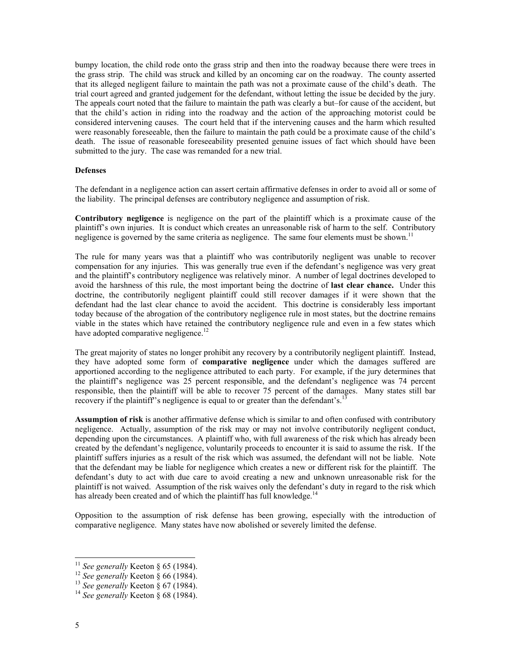bumpy location, the child rode onto the grass strip and then into the roadway because there were trees in the grass strip. The child was struck and killed by an oncoming car on the roadway. The county asserted that its alleged negligent failure to maintain the path was not a proximate cause of the child's death. The trial court agreed and granted judgement for the defendant, without letting the issue be decided by the jury. The appeals court noted that the failure to maintain the path was clearly a but–for cause of the accident, but that the child's action in riding into the roadway and the action of the approaching motorist could be considered intervening causes. The court held that if the intervening causes and the harm which resulted were reasonably foreseeable, then the failure to maintain the path could be a proximate cause of the child's death. The issue of reasonable foreseeability presented genuine issues of fact which should have been submitted to the jury. The case was remanded for a new trial.

#### **Defenses**

The defendant in a negligence action can assert certain affirmative defenses in order to avoid all or some of the liability. The principal defenses are contributory negligence and assumption of risk.

**Contributory negligence** is negligence on the part of the plaintiff which is a proximate cause of the plaintiff's own injuries. It is conduct which creates an unreasonable risk of harm to the self. Contributory negligence is governed by the same criteria as negligence. The same four elements must be shown.<sup>11</sup>

The rule for many years was that a plaintiff who was contributorily negligent was unable to recover compensation for any injuries. This was generally true even if the defendant's negligence was very great and the plaintiff's contributory negligence was relatively minor. A number of legal doctrines developed to avoid the harshness of this rule, the most important being the doctrine of **last clear chance.** Under this doctrine, the contributorily negligent plaintiff could still recover damages if it were shown that the defendant had the last clear chance to avoid the accident. This doctrine is considerably less important today because of the abrogation of the contributory negligence rule in most states, but the doctrine remains viable in the states which have retained the contributory negligence rule and even in a few states which have adopted comparative negligence.<sup>12</sup>

The great majority of states no longer prohibit any recovery by a contributorily negligent plaintiff. Instead, they have adopted some form of **comparative negligence** under which the damages suffered are apportioned according to the negligence attributed to each party. For example, if the jury determines that the plaintiff's negligence was 25 percent responsible, and the defendant's negligence was 74 percent responsible, then the plaintiff will be able to recover 75 percent of the damages. Many states still bar recovery if the plaintiff's negligence is equal to or greater than the defendant's.<sup>1</sup>

**Assumption of risk** is another affirmative defense which is similar to and often confused with contributory negligence. Actually, assumption of the risk may or may not involve contributorily negligent conduct, depending upon the circumstances. A plaintiff who, with full awareness of the risk which has already been created by the defendant's negligence, voluntarily proceeds to encounter it is said to assume the risk. If the plaintiff suffers injuries as a result of the risk which was assumed, the defendant will not be liable. Note that the defendant may be liable for negligence which creates a new or different risk for the plaintiff. The defendant's duty to act with due care to avoid creating a new and unknown unreasonable risk for the plaintiff is not waived. Assumption of the risk waives only the defendant's duty in regard to the risk which has already been created and of which the plaintiff has full knowledge.<sup>[14](#page-7-3)</sup>

Opposition to the assumption of risk defense has been growing, especially with the introduction of comparative negligence. Many states have now abolished or severely limited the defense.

<span id="page-7-0"></span><sup>11</sup> *See generally* Keeton § 65 (1984). 12 *See generally* Keeton § 66 (1984). 13 *See generally* Keeton § 67 (1984). 14 *See generally* Keeton § 68 (1984).

<span id="page-7-1"></span>

<span id="page-7-2"></span>

<span id="page-7-3"></span>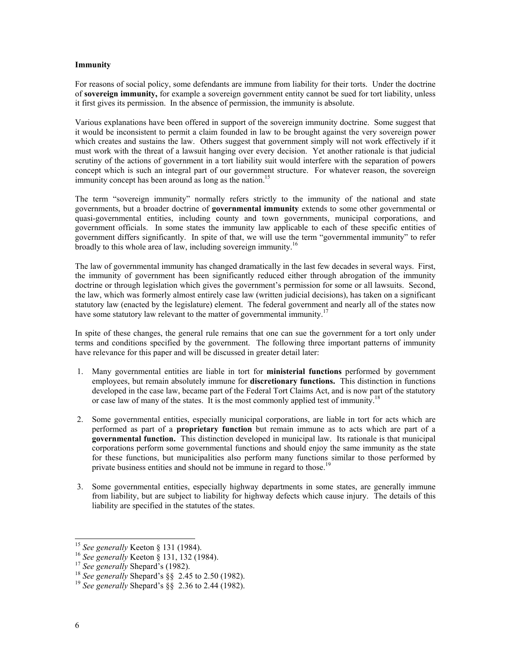#### **Immunity**

For reasons of social policy, some defendants are immune from liability for their torts. Under the doctrine of **sovereign immunity,** for example a sovereign government entity cannot be sued for tort liability, unless it first gives its permission. In the absence of permission, the immunity is absolute.

Various explanations have been offered in support of the sovereign immunity doctrine. Some suggest that it would be inconsistent to permit a claim founded in law to be brought against the very sovereign power which creates and sustains the law. Others suggest that government simply will not work effectively if it must work with the threat of a lawsuit hanging over every decision. Yet another rationale is that judicial scrutiny of the actions of government in a tort liability suit would interfere with the separation of powers concept which is such an integral part of our government structure. For whatever reason, the sovereign immunity concept has been around as long as the nation.<sup>15</sup>

The term "sovereign immunity" normally refers strictly to the immunity of the national and state governments, but a broader doctrine of **governmental immunity** extends to some other governmental or quasi-governmental entities, including county and town governments, municipal corporations, and government officials. In some states the immunity law applicable to each of these specific entities of government differs significantly. In spite of that, we will use the term "governmental immunity" to refer broadly to this whole area of law, including sovereign immunity.<sup>[16](#page-8-1)</sup>

The law of governmental immunity has changed dramatically in the last few decades in several ways. First, the immunity of government has been significantly reduced either through abrogation of the immunity doctrine or through legislation which gives the government's permission for some or all lawsuits. Second, the law, which was formerly almost entirely case law (written judicial decisions), has taken on a significant statutory law (enacted by the legislature) element. The federal government and nearly all of the states now have some statutory law relevant to the matter of governmental immunity.<sup>[17](#page-8-2)</sup>

In spite of these changes, the general rule remains that one can sue the government for a tort only under terms and conditions specified by the government. The following three important patterns of immunity have relevance for this paper and will be discussed in greater detail later:

- 1. Many governmental entities are liable in tort for **ministerial functions** performed by government employees, but remain absolutely immune for **discretionary functions.** This distinction in functions developed in the case law, became part of the Federal Tort Claims Act, and is now part of the statutory or case law of many of the states. It is the most commonly applied test of immunity.<sup>[18](#page-8-3)</sup>
- 2. Some governmental entities, especially municipal corporations, are liable in tort for acts which are performed as part of a **proprietary function** but remain immune as to acts which are part of a **governmental function.** This distinction developed in municipal law. Its rationale is that municipal corporations perform some governmental functions and should enjoy the same immunity as the state for these functions, but municipalities also perform many functions similar to those performed by private business entities and should not be immune in regard to those.<sup>1</sup>
- 3. Some governmental entities, especially highway departments in some states, are generally immune from liability, but are subject to liability for highway defects which cause injury. The details of this liability are specified in the statutes of the states.

<span id="page-8-0"></span>

<span id="page-8-1"></span>

<span id="page-8-3"></span><span id="page-8-2"></span>

<sup>&</sup>lt;sup>15</sup> See generally Keeton § 131 (1984).<br><sup>16</sup> See generally Keeton § 131, 132 (1984).<br><sup>17</sup> See generally Shepard's (1982).<br><sup>18</sup> See generally Shepard's §§ 2.45 to 2.50 (1982).<br><sup>19</sup> See generally Shepard's §§ 2.36 to 2.44 (

<span id="page-8-4"></span>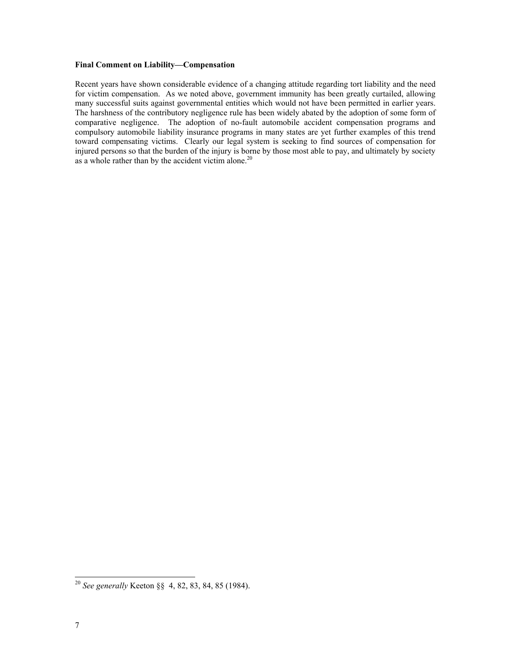### **Final Comment on Liability—Compensation**

Recent years have shown considerable evidence of a changing attitude regarding tort liability and the need for victim compensation. As we noted above, government immunity has been greatly curtailed, allowing many successful suits against governmental entities which would not have been permitted in earlier years. The harshness of the contributory negligence rule has been widely abated by the adoption of some form of comparative negligence. The adoption of no-fault automobile accident compensation programs and compulsory automobile liability insurance programs in many states are yet further examples of this trend toward compensating victims. Clearly our legal system is seeking to find sources of compensation for injured persons so that the burden of the injury is borne by those most able to pay, and ultimately by society as a whole rather than by the accident victim alone. $20$ 

<span id="page-9-0"></span> <sup>20</sup> *See generally* Keeton §§ 4, 82, 83, 84, 85 (1984).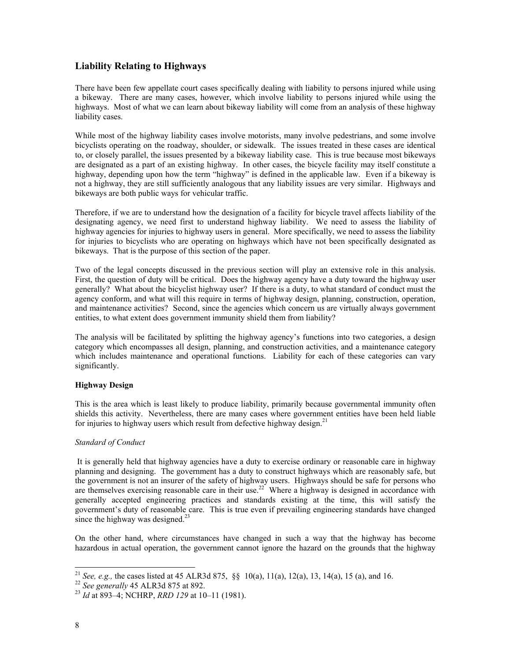### **Liability Relating to Highways**

There have been few appellate court cases specifically dealing with liability to persons injured while using a bikeway. There are many cases, however, which involve liability to persons injured while using the highways. Most of what we can learn about bikeway liability will come from an analysis of these highway liability cases.

While most of the highway liability cases involve motorists, many involve pedestrians, and some involve bicyclists operating on the roadway, shoulder, or sidewalk. The issues treated in these cases are identical to, or closely parallel, the issues presented by a bikeway liability case. This is true because most bikeways are designated as a part of an existing highway. In other cases, the bicycle facility may itself constitute a highway, depending upon how the term "highway" is defined in the applicable law. Even if a bikeway is not a highway, they are still sufficiently analogous that any liability issues are very similar. Highways and bikeways are both public ways for vehicular traffic.

Therefore, if we are to understand how the designation of a facility for bicycle travel affects liability of the designating agency, we need first to understand highway liability. We need to assess the liability of highway agencies for injuries to highway users in general. More specifically, we need to assess the liability for injuries to bicyclists who are operating on highways which have not been specifically designated as bikeways. That is the purpose of this section of the paper.

Two of the legal concepts discussed in the previous section will play an extensive role in this analysis. First, the question of duty will be critical. Does the highway agency have a duty toward the highway user generally? What about the bicyclist highway user? If there is a duty, to what standard of conduct must the agency conform, and what will this require in terms of highway design, planning, construction, operation, and maintenance activities? Second, since the agencies which concern us are virtually always government entities, to what extent does government immunity shield them from liability?

The analysis will be facilitated by splitting the highway agency's functions into two categories, a design category which encompasses all design, planning, and construction activities, and a maintenance category which includes maintenance and operational functions. Liability for each of these categories can vary significantly.

### **Highway Design**

This is the area which is least likely to produce liability, primarily because governmental immunity often shields this activity. Nevertheless, there are many cases where government entities have been held liable for injuries to highway users which result from defective highway design.<sup>[21](#page-10-0)</sup>

### *Standard of Conduct*

It is generally held that highway agencies have a duty to exercise ordinary or reasonable care in highway planning and designing. The government has a duty to construct highways which are reasonably safe, but the government is not an insurer of the safety of highway users. Highways should be safe for persons who are themselves exercising reasonable care in their use.<sup>22</sup> Where a highway is designed in accordance with generally accepted engineering practices and standards existing at the time, this will satisfy the government's duty of reasonable care. This is true even if prevailing engineering standards have changed since the highway was designed. $^{23}$  $^{23}$  $^{23}$ 

On the other hand, where circumstances have changed in such a way that the highway has become hazardous in actual operation, the government cannot ignore the hazard on the grounds that the highway

<span id="page-10-0"></span><sup>&</sup>lt;sup>21</sup> *See, e.g.,* the cases listed at 45 ALR3d 875, §§ 10(a), 11(a), 12(a), 13, 14(a), 15 (a), and 16.<br><sup>22</sup> *See generally* 45 ALR3d 875 at 892.<br><sup>23</sup> *Id* at 893–4; NCHRP, *RRD 129* at 10–11 (1981).

<span id="page-10-1"></span>

<span id="page-10-2"></span>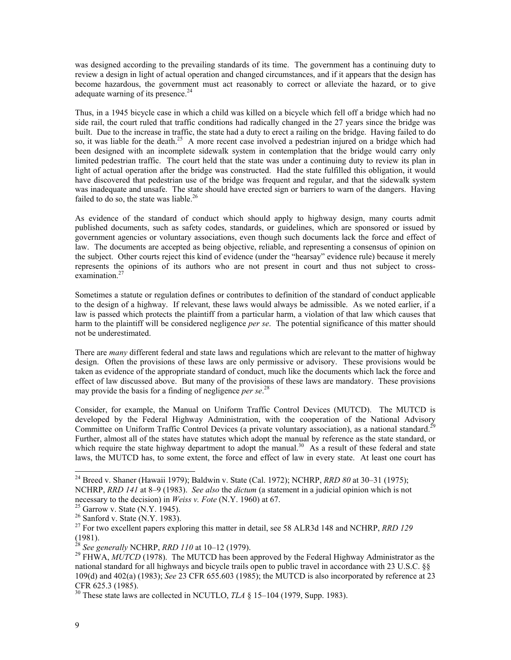was designed according to the prevailing standards of its time. The government has a continuing duty to review a design in light of actual operation and changed circumstances, and if it appears that the design has become hazardous, the government must act reasonably to correct or alleviate the hazard, or to give adequate warning of its presence. $^{24}$ 

Thus, in a 1945 bicycle case in which a child was killed on a bicycle which fell off a bridge which had no side rail, the court ruled that traffic conditions had radically changed in the 27 years since the bridge was built. Due to the increase in traffic, the state had a duty to erect a railing on the bridge. Having failed to do so, it was liable for the death.<sup>25</sup> A more recent case involved a pedestrian injured on a bridge which had been designed with an incomplete sidewalk system in contemplation that the bridge would carry only limited pedestrian traffic. The court held that the state was under a continuing duty to review its plan in light of actual operation after the bridge was constructed. Had the state fulfilled this obligation, it would have discovered that pedestrian use of the bridge was frequent and regular, and that the sidewalk system was inadequate and unsafe. The state should have erected sign or barriers to warn of the dangers. Having failed to do so, the state was liable.<sup>26</sup>

As evidence of the standard of conduct which should apply to highway design, many courts admit published documents, such as safety codes, standards, or guidelines, which are sponsored or issued by government agencies or voluntary associations, even though such documents lack the force and effect of law. The documents are accepted as being objective, reliable, and representing a consensus of opinion on the subject. Other courts reject this kind of evidence (under the "hearsay" evidence rule) because it merely represents the opinions of its authors who are not present in court and thus not subject to cross-examination.<sup>[27](#page-11-3)</sup>

Sometimes a statute or regulation defines or contributes to definition of the standard of conduct applicable to the design of a highway. If relevant, these laws would always be admissible. As we noted earlier, if a law is passed which protects the plaintiff from a particular harm, a violation of that law which causes that harm to the plaintiff will be considered negligence *per se*. The potential significance of this matter should not be underestimated.

There are *many* different federal and state laws and regulations which are relevant to the matter of highway design. Often the provisions of these laws are only permissive or advisory. These provisions would be taken as evidence of the appropriate standard of conduct, much like the documents which lack the force and effect of law discussed above. But many of the provisions of these laws are mandatory. These provisions may provide the basis for a finding of negligence *per se*. [28](#page-11-4)

Consider, for example, the Manual on Uniform Traffic Control Devices (MUTCD). The MUTCD is developed by the Federal Highway Administration, with the cooperation of the National Advisory Committee on Uniform Traffic Control Devices (a private voluntary association), as a national standard.<sup>29</sup> Further, almost all of the states have statutes which adopt the manual by reference as the state standard, or which require the state highway department to adopt the manual.<sup>30</sup> As a result of these federal and state laws, the MUTCD has, to some extent, the force and effect of law in every state. At least one court has

<span id="page-11-0"></span> <sup>24</sup> Breed v. Shaner (Hawaii 1979); Baldwin v. State (Cal. 1972); NCHRP, *RRD 80* at 30–31 (1975); NCHRP, *RRD 141* at 8–9 (1983). *See also* the *dictum* (a statement in a judicial opinion which is not

<span id="page-11-1"></span>

<span id="page-11-3"></span><span id="page-11-2"></span>

necessary to the decision) in *Weiss v. Fote* (N.Y. 1960) at 67.<br><sup>25</sup> Garrow v. State (N.Y. 1945).<br><sup>26</sup> Sanford v. State (N.Y. 1983).<br><sup>27</sup> For two excellent papers exploring this matter in detail, see 58 ALR3d 148 and NCH (1981).<br><sup>28</sup> See generally NCHRP, *RRD 110* at 10–12 (1979).

<span id="page-11-4"></span>

<span id="page-11-5"></span><sup>&</sup>lt;sup>29</sup> FHWA, *MUTCD* (1978). The MUTCD has been approved by the Federal Highway Administrator as the national standard for all highways and bicycle trails open to public travel in accordance with 23 U.S.C. §§ 109(d) and 402(a) (1983); *See* 23 CFR 655.603 (1985); the MUTCD is also incorporated by reference at 23

<span id="page-11-6"></span><sup>&</sup>lt;sup>30</sup> These state laws are collected in NCUTLO, *TLA*  $\S$  15–104 (1979, Supp. 1983).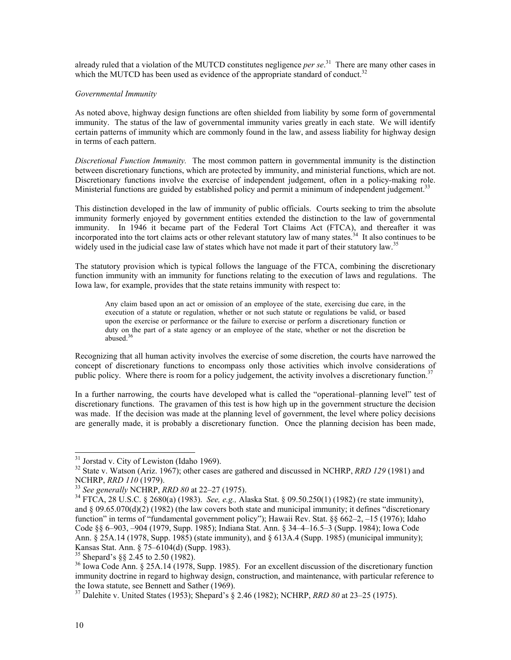already ruled that a violation of the MUTCD constitutes negligence *per se*. [31](#page-12-0) There are many other cases in which the MUTCD has been used as evidence of the appropriate standard of conduct.<sup>[32](#page-12-1)</sup>

#### *Governmental Immunity*

As noted above, highway design functions are often shielded from liability by some form of governmental immunity. The status of the law of governmental immunity varies greatly in each state. We will identify certain patterns of immunity which are commonly found in the law, and assess liability for highway design in terms of each pattern.

*Discretional Function Immunity.* The most common pattern in governmental immunity is the distinction between discretionary functions, which are protected by immunity, and ministerial functions, which are not. Discretionary functions involve the exercise of independent judgement, often in a policy-making role. Ministerial functions are guided by established policy and permit a minimum of independent judgement.<sup>[33](#page-12-2)</sup>

This distinction developed in the law of immunity of public officials. Courts seeking to trim the absolute immunity formerly enjoyed by government entities extended the distinction to the law of governmental immunity. In 1946 it became part of the Federal Tort Claims Act (FTCA), and thereafter it was incorporated into the tort claims acts or other relevant statutory law of many states.<sup>34</sup> It also continues to be widely used in the judicial case law of states which have not made it part of their statutory law.<sup>[35](#page-12-4)</sup>

The statutory provision which is typical follows the language of the FTCA, combining the discretionary function immunity with an immunity for functions relating to the execution of laws and regulations. The Iowa law, for example, provides that the state retains immunity with respect to:

Any claim based upon an act or omission of an employee of the state, exercising due care, in the execution of a statute or regulation, whether or not such statute or regulations be valid, or based upon the exercise or performance or the failure to exercise or perform a discretionary function or duty on the part of a state agency or an employee of the state, whether or not the discretion be abused.[36](#page-12-5)

Recognizing that all human activity involves the exercise of some discretion, the courts have narrowed the concept of discretionary functions to encompass only those activities which involve considerations of public policy. Where there is room for a policy judgement, the activity involves a discretionary function.<sup>37</sup>

In a further narrowing, the courts have developed what is called the "operational–planning level" test of discretionary functions. The gravamen of this test is how high up in the government structure the decision was made. If the decision was made at the planning level of government, the level where policy decisions are generally made, it is probably a discretionary function. Once the planning decision has been made,

<span id="page-12-1"></span><span id="page-12-0"></span>

<sup>&</sup>lt;sup>31</sup> Jorstad v. City of Lewiston (Idaho 1969).<br><sup>32</sup> State v. Watson (Ariz. 1967); other cases are gathered and discussed in NCHRP, *RRD 129* (1981) and NCHRP, *RRD 110* (1979).

<span id="page-12-3"></span><span id="page-12-2"></span>

<sup>&</sup>lt;sup>33</sup> *See generally* NCHRP, *RRD 80* at 22–27 (1975).<br><sup>34</sup> FTCA, 28 U.S.C. § 2680(a) (1983). *See, e.g., Alaska Stat.* § 09.50.250(1) (1982) (re state immunity), and  $\S 09.65.070(d)(2)$  (1982) (the law covers both state and municipal immunity; it defines "discretionary function" in terms of "fundamental government policy"); Hawaii Rev. Stat. §§ 662–2, –15 (1976); Idaho Code §§ 6–903, –904 (1979, Supp. 1985); Indiana Stat. Ann. § 34–4–16.5–3 (Supp. 1984); Iowa Code Ann. § 25A.14 (1978, Supp. 1985) (state immunity), and § 613A.4 (Supp. 1985) (municipal immunity);<br>Kansas Stat. Ann. § 75–6104(d) (Supp. 1983).

<span id="page-12-5"></span><span id="page-12-4"></span>

<sup>&</sup>lt;sup>35</sup> Shepard's §§ 2.45 to 2.50 (1982).  $\frac{36}{36}$  Iowa Code Ann. § 25A.14 (1978, Supp. 1985). For an excellent discussion of the discretionary function immunity doctrine in regard to highway design, construction, and maintenance, with particular reference to the Iowa statute, see Bennett and Sather (1969). 37 Dalehite v. United States (1953); Shepard's § 2.46 (1982); NCHRP, *RRD 80* at 23–25 (1975).

<span id="page-12-6"></span>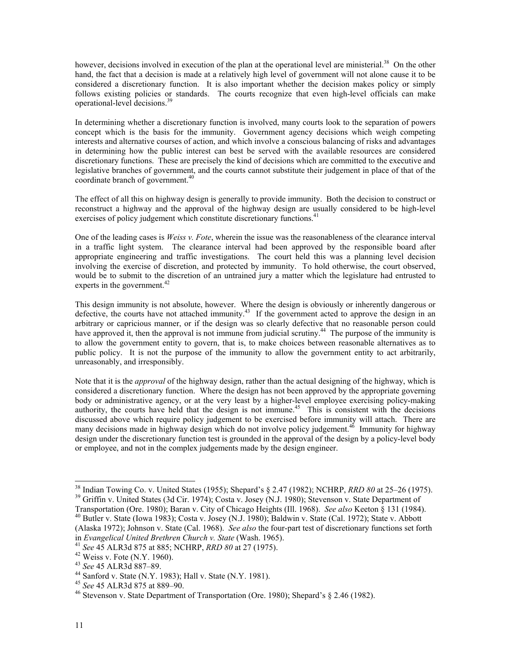however, decisions involved in execution of the plan at the operational level are ministerial.<sup>38</sup> On the other hand, the fact that a decision is made at a relatively high level of government will not alone cause it to be considered a discretionary function. It is also important whether the decision makes policy or simply follows existing policies or standards. The courts recognize that even high-level officials can make operational-level decisions.[39](#page-13-1)

In determining whether a discretionary function is involved, many courts look to the separation of powers concept which is the basis for the immunity. Government agency decisions which weigh competing interests and alternative courses of action, and which involve a conscious balancing of risks and advantages in determining how the public interest can best be served with the available resources are considered discretionary functions. These are precisely the kind of decisions which are committed to the executive and legislative branches of government, and the courts cannot substitute their judgement in place of that of the coordinate branch of government. [40](#page-13-2)

The effect of all this on highway design is generally to provide immunity. Both the decision to construct or reconstruct a highway and the approval of the highway design are usually considered to be high-level exercises of policy judgement which constitute discretionary functions.<sup>41</sup>

One of the leading cases is *Weiss v. Fote*, wherein the issue was the reasonableness of the clearance interval in a traffic light system. The clearance interval had been approved by the responsible board after appropriate engineering and traffic investigations. The court held this was a planning level decision involving the exercise of discretion, and protected by immunity. To hold otherwise, the court observed, would be to submit to the discretion of an untrained jury a matter which the legislature had entrusted to experts in the government.<sup>[42](#page-13-4)</sup>

This design immunity is not absolute, however. Where the design is obviously or inherently dangerous or defective, the courts have not attached immunity.<sup>43</sup> If the government acted to approve the design in an arbitrary or capricious manner, or if the design was so clearly defective that no reasonable person could have approved it, then the approval is not immune from judicial scrutiny.<sup>44</sup> The purpose of the immunity is to allow the government entity to govern, that is, to make choices between reasonable alternatives as to public policy. It is not the purpose of the immunity to allow the government entity to act arbitrarily, unreasonably, and irresponsibly.

Note that it is the *approval* of the highway design, rather than the actual designing of the highway, which is considered a discretionary function. Where the design has not been approved by the appropriate governing body or administrative agency, or at the very least by a higher-level employee exercising policy-making authority, the courts have held that the design is not immune.<sup>45</sup> This is consistent with the decisions discussed above which require policy judgement to be exercised before immunity will attach. There are many decisions made in highway design which do not involve policy judgement.<sup>46</sup> Immunity for highway design under the discretionary function test is grounded in the approval of the design by a policy-level body or employee, and not in the complex judgements made by the design engineer.

<span id="page-13-0"></span><sup>&</sup>lt;sup>38</sup> Indian Towing Co. v. United States (1955); Shepard's § 2.47 (1982); NCHRP, *RRD 80* at 25–26 (1975).<br><sup>39</sup> Griffin v. United States (3d Cir. 1974); Costa v. Josey (N.J. 1980); Stevenson v. State Department of Transport

<span id="page-13-1"></span>

<span id="page-13-2"></span><sup>&</sup>lt;sup>40</sup> Butler v. State (Iowa 1983); Costa v. Josey (N.J. 1980); Baldwin v. State (Cal. 1972); State v. Abbott

<sup>(</sup>Alaska 1972); Johnson v. State (Cal. 1968). *See also* the four-part test of discretionary functions set forth

<span id="page-13-3"></span>

<span id="page-13-4"></span>

<span id="page-13-5"></span>

<span id="page-13-6"></span>

<span id="page-13-8"></span><span id="page-13-7"></span>

<sup>&</sup>lt;sup>41</sup> See 45 ALR3d 875 at 885; NCHRP, *RRD 80* at 27 (1975).<br><sup>42</sup> Weiss v. Fote (N.Y. 1960).<br><sup>43</sup> See 45 ALR3d 887–89.<br><sup>44</sup> Sanford v. State (N.Y. 1983); Hall v. State (N.Y. 1981).<br><sup>45</sup> See 45 ALR3d 875 at 889–90.<br><sup>45</sup> See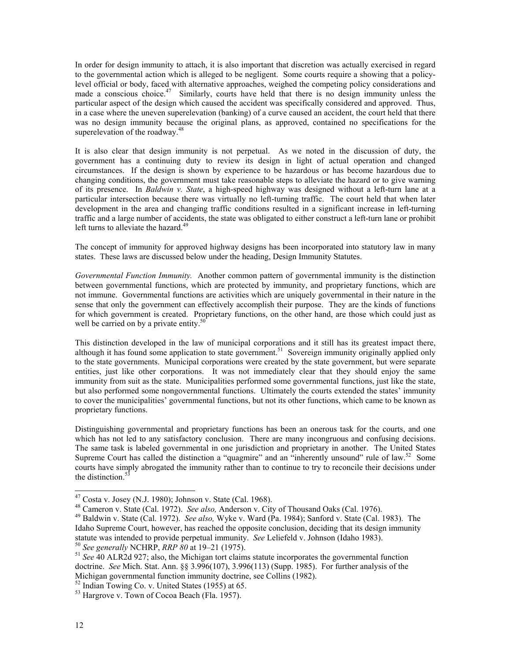In order for design immunity to attach, it is also important that discretion was actually exercised in regard to the governmental action which is alleged to be negligent. Some courts require a showing that a policylevel official or body, faced with alternative approaches, weighed the competing policy considerations and made a conscious choice.<sup>47</sup> Similarly, courts have held that there is no design immunity unless the particular aspect of the design which caused the accident was specifically considered and approved. Thus, in a case where the uneven superelevation (banking) of a curve caused an accident, the court held that there was no design immunity because the original plans, as approved, contained no specifications for the superelevation of the roadway.<sup>[48](#page-14-1)</sup>

It is also clear that design immunity is not perpetual. As we noted in the discussion of duty, the government has a continuing duty to review its design in light of actual operation and changed circumstances. If the design is shown by experience to be hazardous or has become hazardous due to changing conditions, the government must take reasonable steps to alleviate the hazard or to give warning of its presence. In *Baldwin v. State*, a high-speed highway was designed without a left-turn lane at a particular intersection because there was virtually no left-turning traffic. The court held that when later development in the area and changing traffic conditions resulted in a significant increase in left-turning traffic and a large number of accidents, the state was obligated to either construct a left-turn lane or prohibit left turns to alleviate the hazard.<sup>49</sup>

The concept of immunity for approved highway designs has been incorporated into statutory law in many states. These laws are discussed below under the heading, Design Immunity Statutes.

*Governmental Function Immunity.* Another common pattern of governmental immunity is the distinction between governmental functions, which are protected by immunity, and proprietary functions, which are not immune. Governmental functions are activities which are uniquely governmental in their nature in the sense that only the government can effectively accomplish their purpose. They are the kinds of functions for which government is created. Proprietary functions, on the other hand, are those which could just as well be carried on by a private entity.<sup>50</sup>

This distinction developed in the law of municipal corporations and it still has its greatest impact there, although it has found some application to state government.<sup>51</sup> Sovereign immunity originally applied only to the state governments. Municipal corporations were created by the state government, but were separate entities, just like other corporations. It was not immediately clear that they should enjoy the same immunity from suit as the state. Municipalities performed some governmental functions, just like the state, but also performed some nongovernmental functions. Ultimately the courts extended the states' immunity to cover the municipalities' governmental functions, but not its other functions, which came to be known as proprietary functions.

Distinguishing governmental and proprietary functions has been an onerous task for the courts, and one which has not led to any satisfactory conclusion. There are many incongruous and confusing decisions. The same task is labeled governmental in one jurisdiction and proprietary in another. The United States Supreme Court has called the distinction a "quagmire" and an "inherently unsound" rule of law.<sup>52</sup> Some courts have simply abrogated the immunity rather than to continue to try to reconcile their decisions under the distinction.<sup>[53](#page-14-6)</sup>

<span id="page-14-5"></span>

<span id="page-14-0"></span>

<span id="page-14-2"></span><span id="page-14-1"></span>

<sup>&</sup>lt;sup>47</sup> Costa v. Josey (N.J. 1980); Johnson v. State (Cal. 1968).<br><sup>48</sup> Cameron v. State (Cal. 1972). *See also*, Anderson v. City of Thousand Oaks (Cal. 1976).<br><sup>49</sup> Baldwin v. State (Cal. 1972). *See also*, Wyke v. Ward (Pa. Idaho Supreme Court, however, has reached the opposite conclusion, deciding that its design immunity statute was intended to provide perpetual immunity. See Leliefeld v. Johnson (Idaho 1983).<br><sup>50</sup> See generally NCHRP, *RRP 80* at 19–21 (1975).<br><sup>51</sup> See 40 ALR2d 927; also, the Michigan tort claims statute incorporates the

<span id="page-14-3"></span>

<span id="page-14-4"></span>doctrine. *See* Mich. Stat. Ann. §§ 3.996(107), 3.996(113) (Supp. 1985). For further analysis of the Michigan governmental function immunity doctrine, see Collins (1982).<br><sup>52</sup> Indian Towing Co. v. United States (1955) at 65.<br><sup>53</sup> Hargrove v. Town of Cocoa Beach (Fla. 1957).

<span id="page-14-6"></span>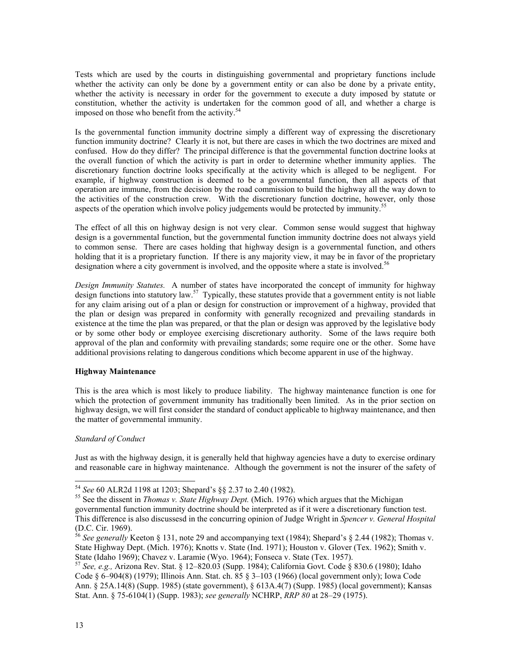Tests which are used by the courts in distinguishing governmental and proprietary functions include whether the activity can only be done by a government entity or can also be done by a private entity, whether the activity is necessary in order for the government to execute a duty imposed by statute or constitution, whether the activity is undertaken for the common good of all, and whether a charge is imposed on those who benefit from the activity.<sup>[54](#page-15-0)</sup>

Is the governmental function immunity doctrine simply a different way of expressing the discretionary function immunity doctrine? Clearly it is not, but there are cases in which the two doctrines are mixed and confused. How do they differ? The principal difference is that the governmental function doctrine looks at the overall function of which the activity is part in order to determine whether immunity applies. The discretionary function doctrine looks specifically at the activity which is alleged to be negligent. For example, if highway construction is deemed to be a governmental function, then all aspects of that operation are immune, from the decision by the road commission to build the highway all the way down to the activities of the construction crew. With the discretionary function doctrine, however, only those aspects of the operation which involve policy judgements would be protected by immunity.<sup>[55](#page-15-1)</sup>

The effect of all this on highway design is not very clear. Common sense would suggest that highway design is a governmental function, but the governmental function immunity doctrine does not always yield to common sense. There are cases holding that highway design is a governmental function, and others holding that it is a proprietary function. If there is any majority view, it may be in favor of the proprietary designation where a city government is involved, and the opposite where a state is involved.<sup>[56](#page-15-2)</sup>

*Design Immunity Statutes.* A number of states have incorporated the concept of immunity for highway design functions into statutory law.<sup>57</sup> Typically, these statutes provide that a government entity is not liable for any claim arising out of a plan or design for construction or improvement of a highway, provided that the plan or design was prepared in conformity with generally recognized and prevailing standards in existence at the time the plan was prepared, or that the plan or design was approved by the legislative body or by some other body or employee exercising discretionary authority. Some of the laws require both approval of the plan and conformity with prevailing standards; some require one or the other. Some have additional provisions relating to dangerous conditions which become apparent in use of the highway.

### **Highway Maintenance**

This is the area which is most likely to produce liability. The highway maintenance function is one for which the protection of government immunity has traditionally been limited. As in the prior section on highway design, we will first consider the standard of conduct applicable to highway maintenance, and then the matter of governmental immunity.

### *Standard of Conduct*

Just as with the highway design, it is generally held that highway agencies have a duty to exercise ordinary and reasonable care in highway maintenance. Although the government is not the insurer of the safety of

<span id="page-15-1"></span><span id="page-15-0"></span>

<sup>54</sup> *See* 60 ALR2d 1198 at 1203; Shepard's §§ 2.37 to 2.40 (1982). 55 See the dissent in *Thomas v. State Highway Dept.* (Mich. 1976) which argues that the Michigan governmental function immunity doctrine should be interpreted as if it were a discretionary function test. This difference is also discussesd in the concurring opinion of Judge Wright in *Spencer v. General Hospital*

<span id="page-15-2"></span><sup>&</sup>lt;sup>56</sup> *See generally* Keeton § 131, note 29 and accompanying text (1984); Shepard's § 2.44 (1982); Thomas v. State Highway Dept. (Mich. 1976); Knotts v. State (Ind. 1971); Houston v. Glover (Tex. 1962); Smith v. State (Idaho 1969); Chavez v. Laramie (Wyo. 1964); Fonseca v. State (Tex. 1957).<br><sup>57</sup> *See, e.g., Arizona Rev. Stat.* § 12–820.03 (Supp. 1984); California Govt. Code § 830.6 (1980); Idaho

<span id="page-15-3"></span>Code § 6–904(8) (1979); Illinois Ann. Stat. ch. 85 § 3–103 (1966) (local government only); Iowa Code Ann. § 25A.14(8) (Supp. 1985) (state government), § 613A.4(7) (Supp. 1985) (local government); Kansas Stat. Ann. § 75-6104(1) (Supp. 1983); *see generally* NCHRP, *RRP 80* at 28–29 (1975).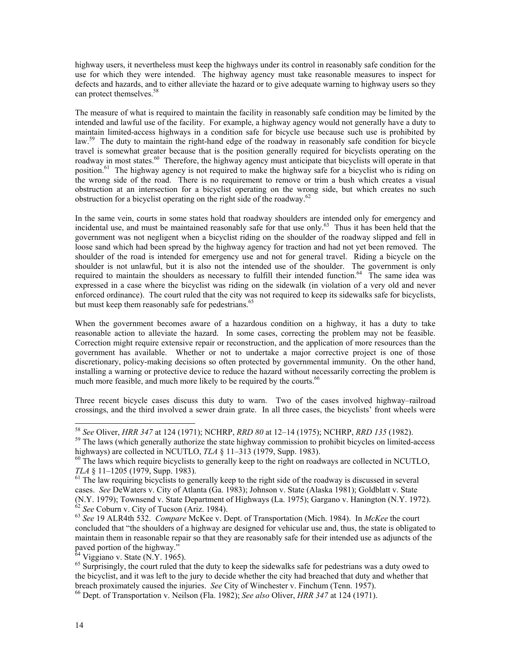highway users, it nevertheless must keep the highways under its control in reasonably safe condition for the use for which they were intended. The highway agency must take reasonable measures to inspect for defects and hazards, and to either alleviate the hazard or to give adequate warning to highway users so they can protect themselves.<sup>[58](#page-16-0)</sup>

The measure of what is required to maintain the facility in reasonably safe condition may be limited by the intended and lawful use of the facility. For example, a highway agency would not generally have a duty to maintain limited-access highways in a condition safe for bicycle use because such use is prohibited by law.<sup>59</sup> The duty to maintain the right-hand edge of the roadway in reasonably safe condition for bicycle travel is somewhat greater because that is the position generally required for bicyclists operating on the roadway in most states.<sup>60</sup> Therefore, the highway agency must anticipate that bicyclists will operate in that position.<sup>[61](#page-16-3)</sup> The highway agency is not required to make the highway safe for a bicyclist who is riding on the wrong side of the road. There is no requirement to remove or trim a bush which creates a visual obstruction at an intersection for a bicyclist operating on the wrong side, but which creates no such obstruction for a bicyclist operating on the right side of the roadway.<sup>[62](#page-16-4)</sup>

In the same vein, courts in some states hold that roadway shoulders are intended only for emergency and incidental use, and must be maintained reasonably safe for that use only. [63](#page-16-5) Thus it has been held that the government was not negligent when a bicyclist riding on the shoulder of the roadway slipped and fell in loose sand which had been spread by the highway agency for traction and had not yet been removed. The shoulder of the road is intended for emergency use and not for general travel. Riding a bicycle on the shoulder is not unlawful, but it is also not the intended use of the shoulder. The government is only required to maintain the shoulders as necessary to fulfill their intended function.<sup>64</sup> The same idea was expressed in a case where the bicyclist was riding on the sidewalk (in violation of a very old and never enforced ordinance). The court ruled that the city was not required to keep its sidewalks safe for bicyclists, but must keep them reasonably safe for pedestrians.<sup>65</sup>

When the government becomes aware of a hazardous condition on a highway, it has a duty to take reasonable action to alleviate the hazard. In some cases, correcting the problem may not be feasible. Correction might require extensive repair or reconstruction, and the application of more resources than the government has available. Whether or not to undertake a major corrective project is one of those discretionary, policy-making decisions so often protected by governmental immunity. On the other hand, installing a warning or protective device to reduce the hazard without necessarily correcting the problem is much more feasible, and much more likely to be required by the courts.<sup>[66](#page-16-8)</sup>

Three recent bicycle cases discuss this duty to warn. Two of the cases involved highway–railroad crossings, and the third involved a sewer drain grate. In all three cases, the bicyclists' front wheels were

<span id="page-16-1"></span><span id="page-16-0"></span>

<sup>&</sup>lt;sup>58</sup> See Oliver, *HRR 347* at 124 (1971); NCHRP, *RRD 80* at 12–14 (1975); NCHRP, *RRD 135* (1982).<br><sup>59</sup> The laws (which generally authorize the state highway commission to prohibit bicycles on limited-access highways) ar

<span id="page-16-2"></span><sup>&</sup>lt;sup>60</sup> The laws which require bicyclists to generally keep to the right on roadways are collected in NCUTLO, *TLA* § 11–1205 (1979, Supp. 1983).<br><sup>61</sup> The law requiring bicyclists to generally keep to the right side of the roadway is discussed in several

<span id="page-16-3"></span>cases. *See* DeWaters v. City of Atlanta (Ga. 1983); Johnson v. State (Alaska 1981); Goldblatt v. State (N.Y. 1979); Townsend v. State Department of Highways (La. 1975); Gargano v. Hanington (N.Y. 1972).<br>
<sup>62</sup> See Coburn v. City of Tucson (Ariz. 1984).<br>
<sup>63</sup> See 19 ALR4th 532. *Compare* McKee v. Dept. of Transportation (Mich

<span id="page-16-5"></span><span id="page-16-4"></span>concluded that "the shoulders of a highway are designed for vehicular use and, thus, the state is obligated to maintain them in reasonable repair so that they are reasonably safe for their intended use as adjuncts of the

<span id="page-16-7"></span><span id="page-16-6"></span>

 $\frac{64}{64}$  Viggiano v. State (N.Y. 1965).  $\frac{65}{65}$  Surprisingly, the court ruled that the duty to keep the sidewalks safe for pedestrians was a duty owed to the bicyclist, and it was left to the jury to decide whether the city had breached that duty and whether that breach proximately caused the injuries. *See* City of Winchester v. Finchum (Tenn. 1957). 66 Dept. of Transportation v. Neilson (Fla. 1982); *See also* Oliver, *HRR 347* at 124 (1971).

<span id="page-16-8"></span>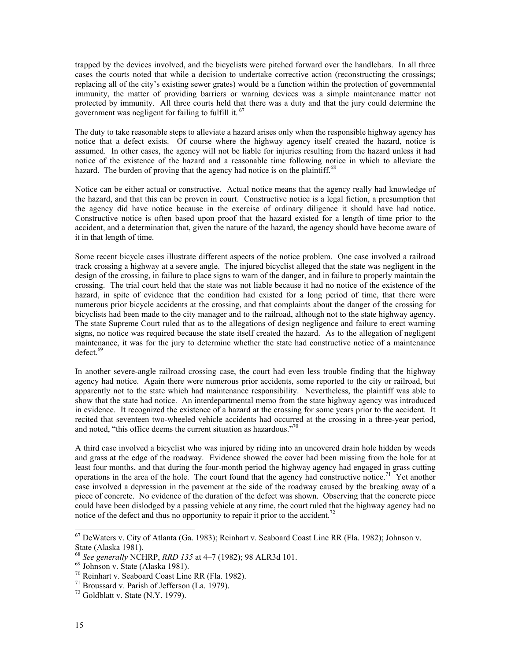trapped by the devices involved, and the bicyclists were pitched forward over the handlebars. In all three cases the courts noted that while a decision to undertake corrective action (reconstructing the crossings; replacing all of the city's existing sewer grates) would be a function within the protection of governmental immunity, the matter of providing barriers or warning devices was a simple maintenance matter not protected by immunity. All three courts held that there was a duty and that the jury could determine the government was negligent for failing to fulfill it.<sup>67</sup>

The duty to take reasonable steps to alleviate a hazard arises only when the responsible highway agency has notice that a defect exists. Of course where the highway agency itself created the hazard, notice is assumed. In other cases, the agency will not be liable for injuries resulting from the hazard unless it had notice of the existence of the hazard and a reasonable time following notice in which to alleviate the hazard. The burden of proving that the agency had notice is on the plaintiff.<sup>68</sup>

Notice can be either actual or constructive. Actual notice means that the agency really had knowledge of the hazard, and that this can be proven in court. Constructive notice is a legal fiction, a presumption that the agency did have notice because in the exercise of ordinary diligence it should have had notice. Constructive notice is often based upon proof that the hazard existed for a length of time prior to the accident, and a determination that, given the nature of the hazard, the agency should have become aware of it in that length of time.

Some recent bicycle cases illustrate different aspects of the notice problem. One case involved a railroad track crossing a highway at a severe angle. The injured bicyclist alleged that the state was negligent in the design of the crossing, in failure to place signs to warn of the danger, and in failure to properly maintain the crossing. The trial court held that the state was not liable because it had no notice of the existence of the hazard, in spite of evidence that the condition had existed for a long period of time, that there were numerous prior bicycle accidents at the crossing, and that complaints about the danger of the crossing for bicyclists had been made to the city manager and to the railroad, although not to the state highway agency. The state Supreme Court ruled that as to the allegations of design negligence and failure to erect warning signs, no notice was required because the state itself created the hazard. As to the allegation of negligent maintenance, it was for the jury to determine whether the state had constructive notice of a maintenance  $defect.$ <sup>[69](#page-17-2)</sup>

In another severe-angle railroad crossing case, the court had even less trouble finding that the highway agency had notice. Again there were numerous prior accidents, some reported to the city or railroad, but apparently not to the state which had maintenance responsibility. Nevertheless, the plaintiff was able to show that the state had notice. An interdepartmental memo from the state highway agency was introduced in evidence. It recognized the existence of a hazard at the crossing for some years prior to the accident. It recited that seventeen two-wheeled vehicle accidents had occurred at the crossing in a three-year period, and noted, "this office deems the current situation as hazardous."<sup>70</sup>

A third case involved a bicyclist who was injured by riding into an uncovered drain hole hidden by weeds and grass at the edge of the roadway. Evidence showed the cover had been missing from the hole for at least four months, and that during the four-month period the highway agency had engaged in grass cutting operations in the area of the hole. The court found that the agency had constructive notice.<sup>71</sup> Yet another case involved a depression in the pavement at the side of the roadway caused by the breaking away of a piece of concrete. No evidence of the duration of the defect was shown. Observing that the concrete piece could have been dislodged by a passing vehicle at any time, the court ruled that the highway agency had no notice of the defect and thus no opportunity to repair it prior to the accident.<sup>72</sup>

<span id="page-17-0"></span> <sup>67</sup> DeWaters v. City of Atlanta (Ga. 1983); Reinhart v. Seaboard Coast Line RR (Fla. 1982); Johnson v. State (Alaska 1981).<br>
<sup>68</sup> *See generally* NCHRP, *RRD 135* at 4–7 (1982); 98 ALR3d 101.<br>
<sup>69</sup> Johnson v. State (Alaska 1981).<br>
<sup>70</sup> Reinhart v. Seaboard Coast Line RR (Fla. 1982).<br>
<sup>71</sup> Broussard v. Parish of Jefferson (

<span id="page-17-1"></span>

<span id="page-17-2"></span>

<span id="page-17-3"></span>

<span id="page-17-4"></span>

<span id="page-17-5"></span>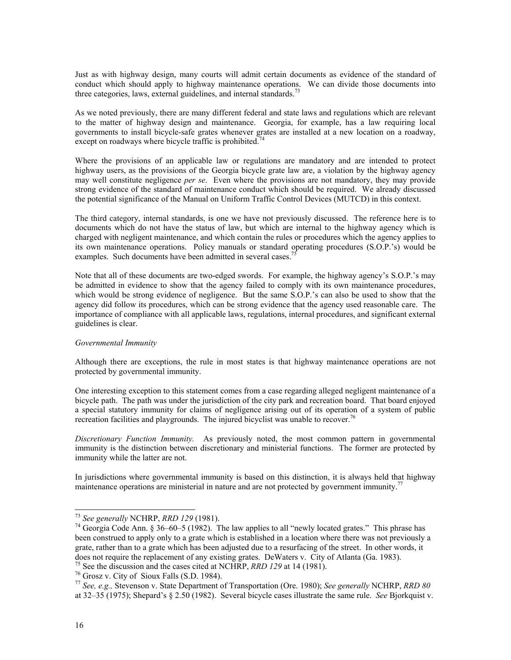<span id="page-18-4"></span>Just as with highway design, many courts will admit certain documents as evidence of the standard of conduct which should apply to highway maintenance operations. We can divide those documents into three categories, laws, external guidelines, and internal standards.<sup>7</sup>

As we noted previously, there are many different federal and state laws and regulations which are relevant to the matter of highway design and maintenance. Georgia, for example, has a law requiring local governments to install bicycle-safe grates whenever grates are installed at a new location on a roadway, except on roadways where bicycle traffic is prohibited.<sup>[74](#page-18-1)</sup>

Where the provisions of an applicable law or regulations are mandatory and are intended to protect highway users, as the provisions of the Georgia bicycle grate law are, a violation by the highway agency may well constitute negligence *per se*. Even where the provisions are not mandatory, they may provide strong evidence of the standard of maintenance conduct which should be required. We already discussed the potential significance of the Manual on Uniform Traffic Control Devices (MUTCD) in this context.

The third category, internal standards, is one we have not previously discussed. The reference here is to documents which do not have the status of law, but which are internal to the highway agency which is charged with negligent maintenance, and which contain the rules or procedures which the agency applies to its own maintenance operations. Policy manuals or standard operating procedures (S.O.P.'s) would be examples. Such documents have been admitted in several cases.

Note that all of these documents are two-edged swords. For example, the highway agency's S.O.P.'s may be admitted in evidence to show that the agency failed to comply with its own maintenance procedures, which would be strong evidence of negligence. But the same S.O.P.'s can also be used to show that the agency did follow its procedures, which can be strong evidence that the agency used reasonable care. The importance of compliance with all applicable laws, regulations, internal procedures, and significant external guidelines is clear.

#### *Governmental Immunity*

Although there are exceptions, the rule in most states is that highway maintenance operations are not protected by governmental immunity.

One interesting exception to this statement comes from a case regarding alleged negligent maintenance of a bicycle path. The path was under the jurisdiction of the city park and recreation board. That board enjoyed a special statutory immunity for claims of negligence arising out of its operation of a system of public recreation facilities and playgrounds. The injured bicyclist was unable to recover.<sup>76</sup>

*Discretionary Function Immunity.* As previously noted, the most common pattern in governmental immunity is the distinction between discretionary and ministerial functions. The former are protected by immunity while the latter are not.

In jurisdictions where governmental immunity is based on this distinction, it is always held that highway maintenance operations are ministerial in nature and are not protected by government immunity.<sup>[77](#page-18-4)</sup>

<span id="page-18-1"></span><span id="page-18-0"></span>

<sup>73</sup> *See generally* NCHRP, *RRD 129* (1981). 74 Georgia Code Ann. § 36–60–5 (1982). The law applies to all "newly located grates." This phrase has been construed to apply only to a grate which is established in a location where there was not previously a grate, rather than to a grate which has been adjusted due to a resurfacing of the street. In other words, it does not require the replacement of any existing grates. DeWaters v. City of Atlanta (Ga. 1983).<br><sup>75</sup> See the discussion and the cases cited at NCHRP, *RRD 129* at 14 (1981).<br><sup>76</sup> Grosz v. City of Sioux Falls (S.D. 1984).

<span id="page-18-2"></span>

<span id="page-18-3"></span>

at 32–35 (1975); Shepard's § 2.50 (1982). Several bicycle cases illustrate the same rule. *See* Bjorkquist v.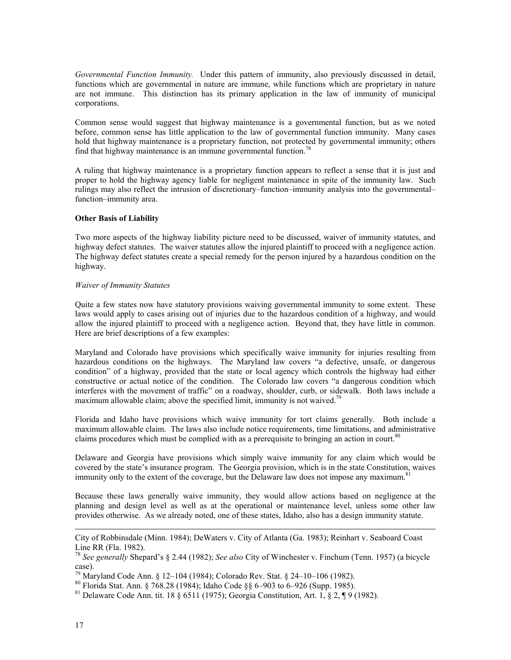*Governmental Function Immunity.* Under this pattern of immunity, also previously discussed in detail, functions which are governmental in nature are immune, while functions which are proprietary in nature are not immune. This distinction has its primary application in the law of immunity of municipal corporations.

Common sense would suggest that highway maintenance is a governmental function, but as we noted before, common sense has little application to the law of governmental function immunity. Many cases hold that highway maintenance is a proprietary function, not protected by governmental immunity; others find that highway maintenance is an immune governmental function[.78](#page-19-0)

A ruling that highway maintenance is a proprietary function appears to reflect a sense that it is just and proper to hold the highway agency liable for negligent maintenance in spite of the immunity law. Such rulings may also reflect the intrusion of discretionary–function–immunity analysis into the governmental– function–immunity area.

#### **Other Basis of Liability**

Two more aspects of the highway liability picture need to be discussed, waiver of immunity statutes, and highway defect statutes. The waiver statutes allow the injured plaintiff to proceed with a negligence action. The highway defect statutes create a special remedy for the person injured by a hazardous condition on the highway.

#### *Waiver of Immunity Statutes*

Quite a few states now have statutory provisions waiving governmental immunity to some extent. These laws would apply to cases arising out of injuries due to the hazardous condition of a highway, and would allow the injured plaintiff to proceed with a negligence action. Beyond that, they have little in common. Here are brief descriptions of a few examples:

Maryland and Colorado have provisions which specifically waive immunity for injuries resulting from hazardous conditions on the highways. The Maryland law covers "a defective, unsafe, or dangerous condition" of a highway, provided that the state or local agency which controls the highway had either constructive or actual notice of the condition. The Colorado law covers "a dangerous condition which interferes with the movement of traffic" on a roadway, shoulder, curb, or sidewalk. Both laws include a maximum allowable claim; above the specified limit, immunity is not waived.<sup>[79](#page-19-1)</sup>

Florida and Idaho have provisions which waive immunity for tort claims generally. Both include a maximum allowable claim. The laws also include notice requirements, time limitations, and administrative claims procedures which must be complied with as a prerequisite to bringing an action in court.<sup>[80](#page-19-2)</sup>

Delaware and Georgia have provisions which simply waive immunity for any claim which would be covered by the state's insurance program. The Georgia provision, which is in the state Constitution, waives immunity only to the extent of the coverage, but the Delaware law does not impose any maximum.<sup>[81](#page-19-3)</sup>

Because these laws generally waive immunity, they would allow actions based on negligence at the planning and design level as well as at the operational or maintenance level, unless some other law provides otherwise. As we already noted, one of these states, Idaho, also has a design immunity statute.

 $\overline{\phantom{a}}$ 

City of Robbinsdale (Minn. 1984); DeWaters v. City of Atlanta (Ga. 1983); Reinhart v. Seaboard Coast Line RR (Fla. 1982). 78 *See generally* Shepard's § 2.44 (1982); *See also* City of Winchester v. Finchum (Tenn. 1957) (a bicycle

<span id="page-19-0"></span>case).

<span id="page-19-2"></span>

<span id="page-19-1"></span><sup>&</sup>lt;sup>79</sup> Maryland Code Ann. § 12–104 (1984); Colorado Rev. Stat. § 24–10–106 (1982).<br><sup>80</sup> Florida Stat. Ann. § 768.28 (1984); Idaho Code §§ 6–903 to 6–926 (Supp. 1985).<br><sup>81</sup> Delaware Code Ann. tit. 18 § 6511 (1975); Georgia Co

<span id="page-19-3"></span>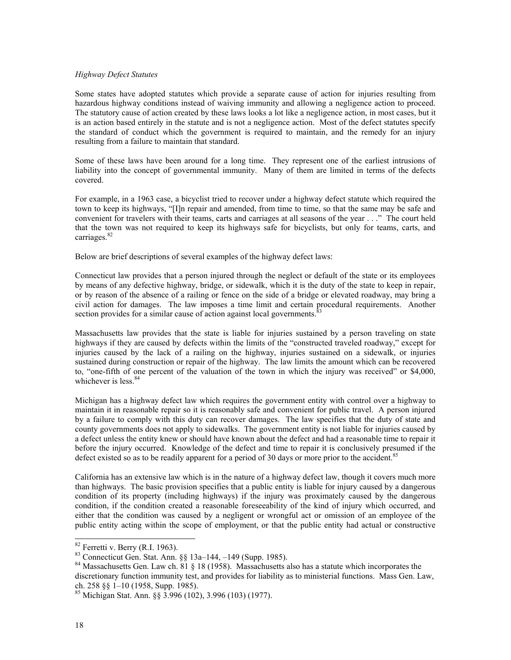#### *Highway Defect Statutes*

Some states have adopted statutes which provide a separate cause of action for injuries resulting from hazardous highway conditions instead of waiving immunity and allowing a negligence action to proceed. The statutory cause of action created by these laws looks a lot like a negligence action, in most cases, but it is an action based entirely in the statute and is not a negligence action. Most of the defect statutes specify the standard of conduct which the government is required to maintain, and the remedy for an injury resulting from a failure to maintain that standard.

Some of these laws have been around for a long time. They represent one of the earliest intrusions of liability into the concept of governmental immunity. Many of them are limited in terms of the defects covered.

For example, in a 1963 case, a bicyclist tried to recover under a highway defect statute which required the town to keep its highways, "[I]n repair and amended, from time to time, so that the same may be safe and convenient for travelers with their teams, carts and carriages at all seasons of the year . . ." The court held that the town was not required to keep its highways safe for bicyclists, but only for teams, carts, and carriages.<sup>[82](#page-20-0)</sup>

Below are brief descriptions of several examples of the highway defect laws:

Connecticut law provides that a person injured through the neglect or default of the state or its employees by means of any defective highway, bridge, or sidewalk, which it is the duty of the state to keep in repair, or by reason of the absence of a railing or fence on the side of a bridge or elevated roadway, may bring a civil action for damages. The law imposes a time limit and certain procedural requirements. Another section provides for a similar cause of action against local governments.<sup>8</sup>

Massachusetts law provides that the state is liable for injuries sustained by a person traveling on state highways if they are caused by defects within the limits of the "constructed traveled roadway," except for injuries caused by the lack of a railing on the highway, injuries sustained on a sidewalk, or injuries sustained during construction or repair of the highway. The law limits the amount which can be recovered to, "one-fifth of one percent of the valuation of the town in which the injury was received" or \$4,000, whichever is less. $84$ 

Michigan has a highway defect law which requires the government entity with control over a highway to maintain it in reasonable repair so it is reasonably safe and convenient for public travel. A person injured by a failure to comply with this duty can recover damages. The law specifies that the duty of state and county governments does not apply to sidewalks. The government entity is not liable for injuries caused by a defect unless the entity knew or should have known about the defect and had a reasonable time to repair it before the injury occurred. Knowledge of the defect and time to repair it is conclusively presumed if the defect existed so as to be readily apparent for a period of 30 days or more prior to the accident.<sup>85</sup>

California has an extensive law which is in the nature of a highway defect law, though it covers much more than highways. The basic provision specifies that a public entity is liable for injury caused by a dangerous condition of its property (including highways) if the injury was proximately caused by the dangerous condition, if the condition created a reasonable foreseeability of the kind of injury which occurred, and either that the condition was caused by a negligent or wrongful act or omission of an employee of the public entity acting within the scope of employment, or that the public entity had actual or constructive

<span id="page-20-1"></span><span id="page-20-0"></span>

<sup>&</sup>lt;sup>82</sup> Ferretti v. Berry (R.I. 1963).<br><sup>83</sup> Connecticut Gen. Stat. Ann. §§ 13a–144, -149 (Supp. 1985).

<span id="page-20-2"></span><sup>&</sup>lt;sup>84</sup> Massachusetts Gen. Law ch.  $\overline{81}$  § 18 (1958). Massachusetts also has a statute which incorporates the discretionary function immunity test, and provides for liability as to ministerial functions. Mass Gen. Law, ch. 258 §§ 1–10 (1958, Supp. 1985).

<span id="page-20-3"></span><sup>85</sup> Michigan Stat. Ann. §§ 3.996 (102), 3.996 (103) (1977).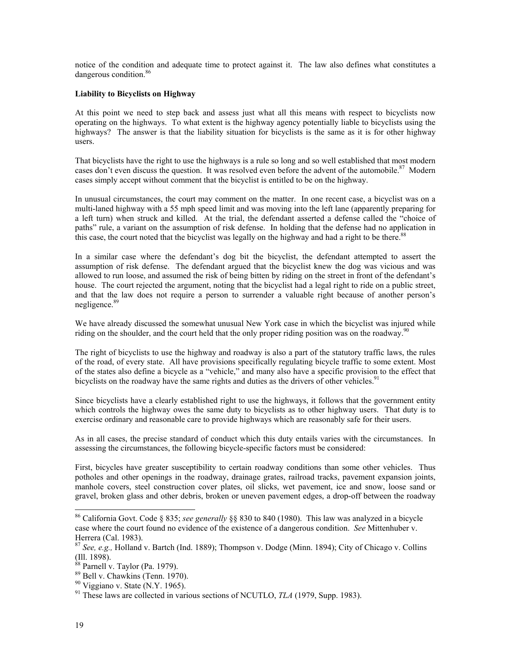notice of the condition and adequate time to protect against it. The law also defines what constitutes a dangerous condition.<sup>[86](#page-21-0)</sup>

### **Liability to Bicyclists on Highway**

At this point we need to step back and assess just what all this means with respect to bicyclists now operating on the highways. To what extent is the highway agency potentially liable to bicyclists using the highways? The answer is that the liability situation for bicyclists is the same as it is for other highway users.

That bicyclists have the right to use the highways is a rule so long and so well established that most modern cases don't even discuss the question. It was resolved even before the advent of the automobile.<sup>87</sup> Modern cases simply accept without comment that the bicyclist is entitled to be on the highway.

In unusual circumstances, the court may comment on the matter. In one recent case, a bicyclist was on a multi-laned highway with a 55 mph speed limit and was moving into the left lane (apparently preparing for a left turn) when struck and killed. At the trial, the defendant asserted a defense called the "choice of paths" rule, a variant on the assumption of risk defense. In holding that the defense had no application in this case, the court noted that the bicyclist was legally on the highway and had a right to be there.<sup>88</sup>

In a similar case where the defendant's dog bit the bicyclist, the defendant attempted to assert the assumption of risk defense. The defendant argued that the bicyclist knew the dog was vicious and was allowed to run loose, and assumed the risk of being bitten by riding on the street in front of the defendant's house. The court rejected the argument, noting that the bicyclist had a legal right to ride on a public street, and that the law does not require a person to surrender a valuable right because of another person's negligence.<sup>[89](#page-21-3)</sup>

We have already discussed the somewhat unusual New York case in which the bicyclist was injured while riding on the shoulder, and the court held that the only proper riding position was on the roadway.<sup>[90](#page-21-4)</sup>

The right of bicyclists to use the highway and roadway is also a part of the statutory traffic laws, the rules of the road, of every state. All have provisions specifically regulating bicycle traffic to some extent. Most of the states also define a bicycle as a "vehicle," and many also have a specific provision to the effect that bicyclists on the roadway have the same rights and duties as the drivers of other vehicles.<sup>91</sup>

Since bicyclists have a clearly established right to use the highways, it follows that the government entity which controls the highway owes the same duty to bicyclists as to other highway users. That duty is to exercise ordinary and reasonable care to provide highways which are reasonably safe for their users.

As in all cases, the precise standard of conduct which this duty entails varies with the circumstances. In assessing the circumstances, the following bicycle-specific factors must be considered:

First, bicycles have greater susceptibility to certain roadway conditions than some other vehicles. Thus potholes and other openings in the roadway, drainage grates, railroad tracks, pavement expansion joints, manhole covers, steel construction cover plates, oil slicks, wet pavement, ice and snow, loose sand or gravel, broken glass and other debris, broken or uneven pavement edges, a drop-off between the roadway

<span id="page-21-0"></span> <sup>86</sup> California Govt. Code § 835; *see generally* §§ 830 to 840 (1980). This law was analyzed in a bicycle case where the court found no evidence of the existence of a dangerous condition. *See* Mittenhuber v.

<span id="page-21-1"></span>Herrera (Cal. 1983).<br><sup>87</sup> *See, e.g., Holland v. Bartch (Ind. 1889)*; Thompson v. Dodge (Minn. 1894); City of Chicago v. Collins (Ill. 1898).

<span id="page-21-2"></span>

<span id="page-21-3"></span>

<span id="page-21-5"></span><span id="page-21-4"></span>

<sup>&</sup>lt;sup>88</sup> Parnell v. Taylor (Pa. 1979).<br><sup>89</sup> Bell v. Chawkins (Tenn. 1970).<br><sup>90</sup> Viggiano v. State (N.Y. 1965).<br><sup>91</sup> These laws are collected in various sections of NCUTLO, *TLA* (1979, Supp. 1983).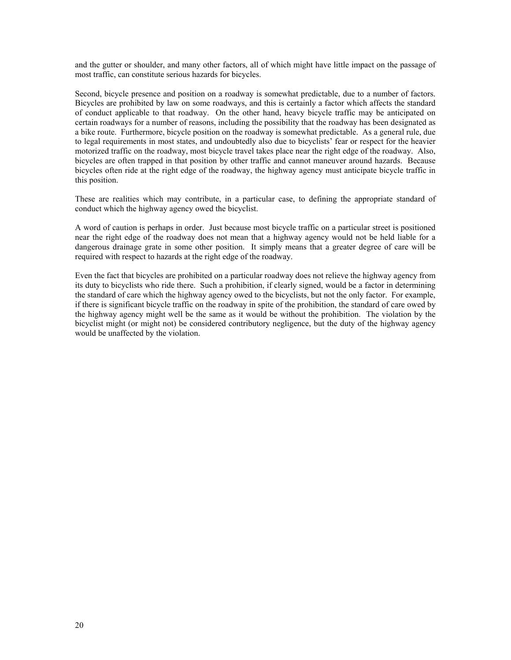and the gutter or shoulder, and many other factors, all of which might have little impact on the passage of most traffic, can constitute serious hazards for bicycles.

Second, bicycle presence and position on a roadway is somewhat predictable, due to a number of factors. Bicycles are prohibited by law on some roadways, and this is certainly a factor which affects the standard of conduct applicable to that roadway. On the other hand, heavy bicycle traffic may be anticipated on certain roadways for a number of reasons, including the possibility that the roadway has been designated as a bike route. Furthermore, bicycle position on the roadway is somewhat predictable. As a general rule, due to legal requirements in most states, and undoubtedly also due to bicyclists' fear or respect for the heavier motorized traffic on the roadway, most bicycle travel takes place near the right edge of the roadway. Also, bicycles are often trapped in that position by other traffic and cannot maneuver around hazards. Because bicycles often ride at the right edge of the roadway, the highway agency must anticipate bicycle traffic in this position.

These are realities which may contribute, in a particular case, to defining the appropriate standard of conduct which the highway agency owed the bicyclist.

A word of caution is perhaps in order. Just because most bicycle traffic on a particular street is positioned near the right edge of the roadway does not mean that a highway agency would not be held liable for a dangerous drainage grate in some other position. It simply means that a greater degree of care will be required with respect to hazards at the right edge of the roadway.

Even the fact that bicycles are prohibited on a particular roadway does not relieve the highway agency from its duty to bicyclists who ride there. Such a prohibition, if clearly signed, would be a factor in determining the standard of care which the highway agency owed to the bicyclists, but not the only factor. For example, if there is significant bicycle traffic on the roadway in spite of the prohibition, the standard of care owed by the highway agency might well be the same as it would be without the prohibition. The violation by the bicyclist might (or might not) be considered contributory negligence, but the duty of the highway agency would be unaffected by the violation.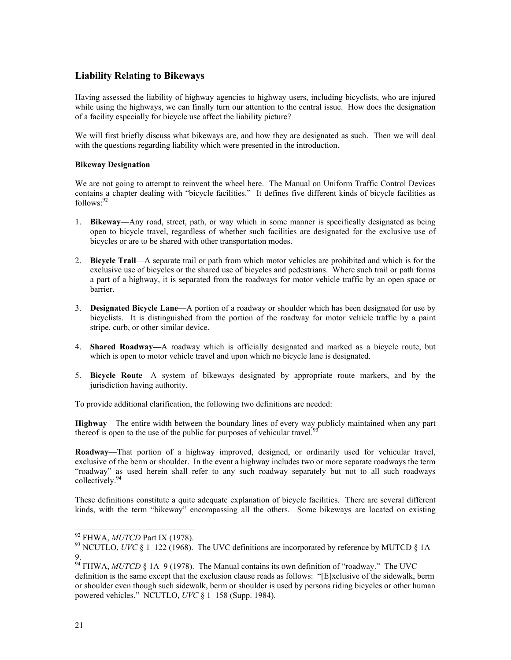### **Liability Relating to Bikeways**

Having assessed the liability of highway agencies to highway users, including bicyclists, who are injured while using the highways, we can finally turn our attention to the central issue. How does the designation of a facility especially for bicycle use affect the liability picture?

We will first briefly discuss what bikeways are, and how they are designated as such. Then we will deal with the questions regarding liability which were presented in the introduction.

### **Bikeway Designation**

We are not going to attempt to reinvent the wheel here. The Manual on Uniform Traffic Control Devices contains a chapter dealing with "bicycle facilities." It defines five different kinds of bicycle facilities as follows: [92](#page-23-0)

- 1. **Bikeway**—Any road, street, path, or way which in some manner is specifically designated as being open to bicycle travel, regardless of whether such facilities are designated for the exclusive use of bicycles or are to be shared with other transportation modes.
- 2. **Bicycle Trail**—A separate trail or path from which motor vehicles are prohibited and which is for the exclusive use of bicycles or the shared use of bicycles and pedestrians. Where such trail or path forms a part of a highway, it is separated from the roadways for motor vehicle traffic by an open space or barrier.
- 3. **Designated Bicycle Lane**—A portion of a roadway or shoulder which has been designated for use by bicyclists. It is distinguished from the portion of the roadway for motor vehicle traffic by a paint stripe, curb, or other similar device.
- 4. **Shared Roadway—**A roadway which is officially designated and marked as a bicycle route, but which is open to motor vehicle travel and upon which no bicycle lane is designated.
- 5. **Bicycle Route**—A system of bikeways designated by appropriate route markers, and by the jurisdiction having authority.

To provide additional clarification, the following two definitions are needed:

**Highway**—The entire width between the boundary lines of every way publicly maintained when any part thereof is open to the use of the public for purposes of vehicular travel.<sup>[93](#page-23-1)</sup>

**Roadway**—That portion of a highway improved, designed, or ordinarily used for vehicular travel, exclusive of the berm or shoulder. In the event a highway includes two or more separate roadways the term "roadway" as used herein shall refer to any such roadway separately but not to all such roadways collectively.<sup>[94](#page-23-2)</sup>

These definitions constitute a quite adequate explanation of bicycle facilities. There are several different kinds, with the term "bikeway" encompassing all the others. Some bikeways are located on existing

<span id="page-23-1"></span><span id="page-23-0"></span>

<sup>&</sup>lt;sup>92</sup> FHWA, *MUTCD* Part IX (1978).<br><sup>93</sup> NCUTLO, *UVC* § 1–122 (1968). The UVC definitions are incorporated by reference by MUTCD § 1A– 9.

<span id="page-23-2"></span><sup>94</sup> FHWA, *MUTCD* § 1A–9 (1978). The Manual contains its own definition of "roadway." The UVC definition is the same except that the exclusion clause reads as follows: "[E]xclusive of the sidewalk, berm or shoulder even though such sidewalk, berm or shoulder is used by persons riding bicycles or other human powered vehicles." NCUTLO, *UVC* § 1–158 (Supp. 1984).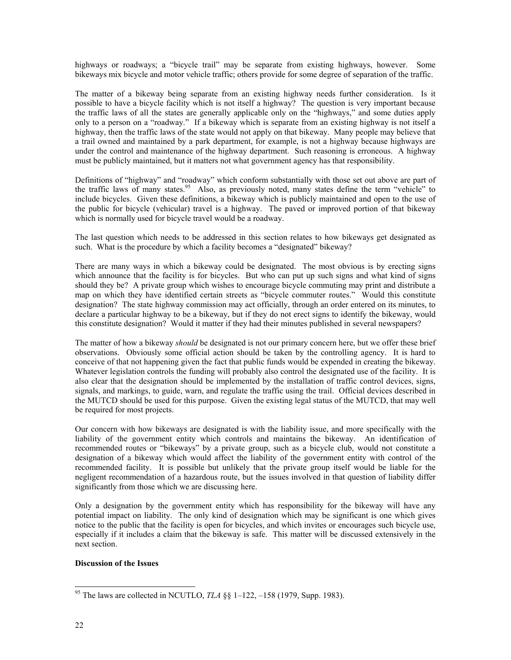highways or roadways; a "bicycle trail" may be separate from existing highways, however. Some bikeways mix bicycle and motor vehicle traffic; others provide for some degree of separation of the traffic.

The matter of a bikeway being separate from an existing highway needs further consideration. Is it possible to have a bicycle facility which is not itself a highway? The question is very important because the traffic laws of all the states are generally applicable only on the "highways," and some duties apply only to a person on a "roadway." If a bikeway which is separate from an existing highway is not itself a highway, then the traffic laws of the state would not apply on that bikeway. Many people may believe that a trail owned and maintained by a park department, for example, is not a highway because highways are under the control and maintenance of the highway department. Such reasoning is erroneous. A highway must be publicly maintained, but it matters not what government agency has that responsibility.

Definitions of "highway" and "roadway" which conform substantially with those set out above are part of the traffic laws of many states.<sup>95</sup> Also, as previously noted, many states define the term "vehicle" to include bicycles. Given these definitions, a bikeway which is publicly maintained and open to the use of the public for bicycle (vehicular) travel is a highway. The paved or improved portion of that bikeway which is normally used for bicycle travel would be a roadway.

The last question which needs to be addressed in this section relates to how bikeways get designated as such. What is the procedure by which a facility becomes a "designated" bikeway?

There are many ways in which a bikeway could be designated. The most obvious is by erecting signs which announce that the facility is for bicycles. But who can put up such signs and what kind of signs should they be? A private group which wishes to encourage bicycle commuting may print and distribute a map on which they have identified certain streets as "bicycle commuter routes." Would this constitute designation? The state highway commission may act officially, through an order entered on its minutes, to declare a particular highway to be a bikeway, but if they do not erect signs to identify the bikeway, would this constitute designation? Would it matter if they had their minutes published in several newspapers?

The matter of how a bikeway *should* be designated is not our primary concern here, but we offer these brief observations. Obviously some official action should be taken by the controlling agency. It is hard to conceive of that not happening given the fact that public funds would be expended in creating the bikeway. Whatever legislation controls the funding will probably also control the designated use of the facility. It is also clear that the designation should be implemented by the installation of traffic control devices, signs, signals, and markings, to guide, warn, and regulate the traffic using the trail. Official devices described in the MUTCD should be used for this purpose. Given the existing legal status of the MUTCD, that may well be required for most projects.

Our concern with how bikeways are designated is with the liability issue, and more specifically with the liability of the government entity which controls and maintains the bikeway. An identification of recommended routes or "bikeways" by a private group, such as a bicycle club, would not constitute a designation of a bikeway which would affect the liability of the government entity with control of the recommended facility. It is possible but unlikely that the private group itself would be liable for the negligent recommendation of a hazardous route, but the issues involved in that question of liability differ significantly from those which we are discussing here.

Only a designation by the government entity which has responsibility for the bikeway will have any potential impact on liability. The only kind of designation which may be significant is one which gives notice to the public that the facility is open for bicycles, and which invites or encourages such bicycle use, especially if it includes a claim that the bikeway is safe. This matter will be discussed extensively in the next section.

### **Discussion of the Issues**

<span id="page-24-0"></span> <sup>95</sup> The laws are collected in NCUTLO, *TLA* §§ 1–122, –158 (1979, Supp. 1983).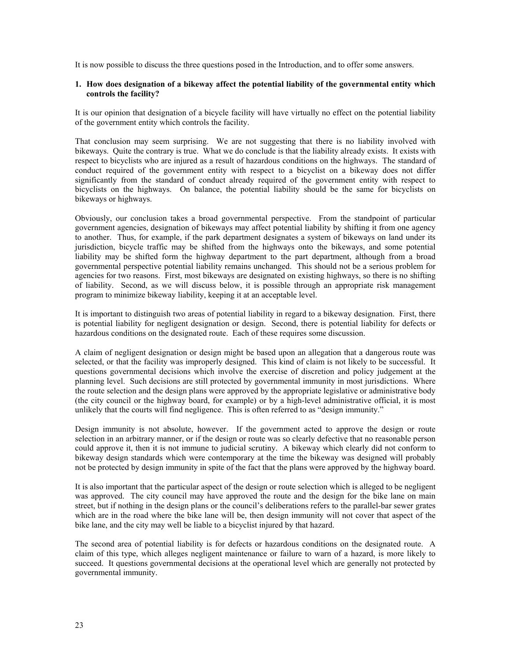It is now possible to discuss the three questions posed in the Introduction, and to offer some answers.

#### **1. How does designation of a bikeway affect the potential liability of the governmental entity which controls the facility?**

It is our opinion that designation of a bicycle facility will have virtually no effect on the potential liability of the government entity which controls the facility.

That conclusion may seem surprising. We are not suggesting that there is no liability involved with bikeways. Quite the contrary is true. What we do conclude is that the liability already exists. It exists with respect to bicyclists who are injured as a result of hazardous conditions on the highways. The standard of conduct required of the government entity with respect to a bicyclist on a bikeway does not differ significantly from the standard of conduct already required of the government entity with respect to bicyclists on the highways. On balance, the potential liability should be the same for bicyclists on bikeways or highways.

Obviously, our conclusion takes a broad governmental perspective. From the standpoint of particular government agencies, designation of bikeways may affect potential liability by shifting it from one agency to another. Thus, for example, if the park department designates a system of bikeways on land under its jurisdiction, bicycle traffic may be shifted from the highways onto the bikeways, and some potential liability may be shifted form the highway department to the part department, although from a broad governmental perspective potential liability remains unchanged. This should not be a serious problem for agencies for two reasons. First, most bikeways are designated on existing highways, so there is no shifting of liability. Second, as we will discuss below, it is possible through an appropriate risk management program to minimize bikeway liability, keeping it at an acceptable level.

It is important to distinguish two areas of potential liability in regard to a bikeway designation. First, there is potential liability for negligent designation or design. Second, there is potential liability for defects or hazardous conditions on the designated route. Each of these requires some discussion.

A claim of negligent designation or design might be based upon an allegation that a dangerous route was selected, or that the facility was improperly designed. This kind of claim is not likely to be successful. It questions governmental decisions which involve the exercise of discretion and policy judgement at the planning level. Such decisions are still protected by governmental immunity in most jurisdictions. Where the route selection and the design plans were approved by the appropriate legislative or administrative body (the city council or the highway board, for example) or by a high-level administrative official, it is most unlikely that the courts will find negligence. This is often referred to as "design immunity."

Design immunity is not absolute, however. If the government acted to approve the design or route selection in an arbitrary manner, or if the design or route was so clearly defective that no reasonable person could approve it, then it is not immune to judicial scrutiny. A bikeway which clearly did not conform to bikeway design standards which were contemporary at the time the bikeway was designed will probably not be protected by design immunity in spite of the fact that the plans were approved by the highway board.

It is also important that the particular aspect of the design or route selection which is alleged to be negligent was approved. The city council may have approved the route and the design for the bike lane on main street, but if nothing in the design plans or the council's deliberations refers to the parallel-bar sewer grates which are in the road where the bike lane will be, then design immunity will not cover that aspect of the bike lane, and the city may well be liable to a bicyclist injured by that hazard.

The second area of potential liability is for defects or hazardous conditions on the designated route. A claim of this type, which alleges negligent maintenance or failure to warn of a hazard, is more likely to succeed. It questions governmental decisions at the operational level which are generally not protected by governmental immunity.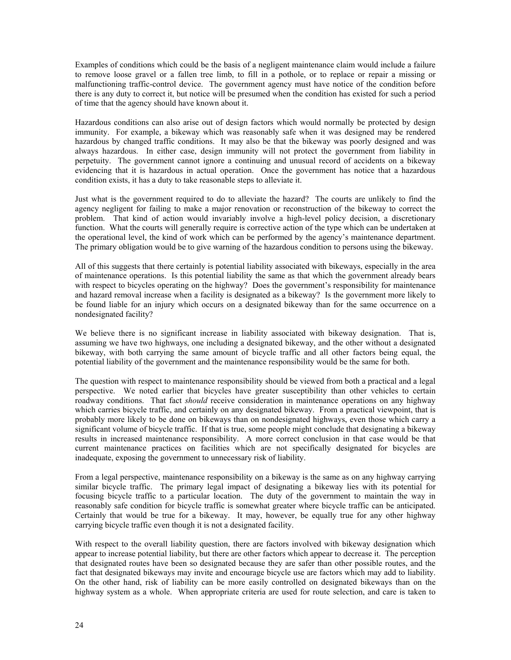Examples of conditions which could be the basis of a negligent maintenance claim would include a failure to remove loose gravel or a fallen tree limb, to fill in a pothole, or to replace or repair a missing or malfunctioning traffic-control device. The government agency must have notice of the condition before there is any duty to correct it, but notice will be presumed when the condition has existed for such a period of time that the agency should have known about it.

Hazardous conditions can also arise out of design factors which would normally be protected by design immunity. For example, a bikeway which was reasonably safe when it was designed may be rendered hazardous by changed traffic conditions. It may also be that the bikeway was poorly designed and was always hazardous. In either case, design immunity will not protect the government from liability in perpetuity. The government cannot ignore a continuing and unusual record of accidents on a bikeway evidencing that it is hazardous in actual operation. Once the government has notice that a hazardous condition exists, it has a duty to take reasonable steps to alleviate it.

Just what is the government required to do to alleviate the hazard? The courts are unlikely to find the agency negligent for failing to make a major renovation or reconstruction of the bikeway to correct the problem. That kind of action would invariably involve a high-level policy decision, a discretionary function. What the courts will generally require is corrective action of the type which can be undertaken at the operational level, the kind of work which can be performed by the agency's maintenance department. The primary obligation would be to give warning of the hazardous condition to persons using the bikeway.

All of this suggests that there certainly is potential liability associated with bikeways, especially in the area of maintenance operations. Is this potential liability the same as that which the government already bears with respect to bicycles operating on the highway? Does the government's responsibility for maintenance and hazard removal increase when a facility is designated as a bikeway? Is the government more likely to be found liable for an injury which occurs on a designated bikeway than for the same occurrence on a nondesignated facility?

We believe there is no significant increase in liability associated with bikeway designation. That is, assuming we have two highways, one including a designated bikeway, and the other without a designated bikeway, with both carrying the same amount of bicycle traffic and all other factors being equal, the potential liability of the government and the maintenance responsibility would be the same for both.

The question with respect to maintenance responsibility should be viewed from both a practical and a legal perspective. We noted earlier that bicycles have greater susceptibility than other vehicles to certain roadway conditions. That fact *should* receive consideration in maintenance operations on any highway which carries bicycle traffic, and certainly on any designated bikeway. From a practical viewpoint, that is probably more likely to be done on bikeways than on nondesignated highways, even those which carry a significant volume of bicycle traffic. If that is true, some people might conclude that designating a bikeway results in increased maintenance responsibility. A more correct conclusion in that case would be that current maintenance practices on facilities which are not specifically designated for bicycles are inadequate, exposing the government to unnecessary risk of liability.

From a legal perspective, maintenance responsibility on a bikeway is the same as on any highway carrying similar bicycle traffic. The primary legal impact of designating a bikeway lies with its potential for focusing bicycle traffic to a particular location. The duty of the government to maintain the way in reasonably safe condition for bicycle traffic is somewhat greater where bicycle traffic can be anticipated. Certainly that would be true for a bikeway. It may, however, be equally true for any other highway carrying bicycle traffic even though it is not a designated facility.

With respect to the overall liability question, there are factors involved with bikeway designation which appear to increase potential liability, but there are other factors which appear to decrease it. The perception that designated routes have been so designated because they are safer than other possible routes, and the fact that designated bikeways may invite and encourage bicycle use are factors which may add to liability. On the other hand, risk of liability can be more easily controlled on designated bikeways than on the highway system as a whole. When appropriate criteria are used for route selection, and care is taken to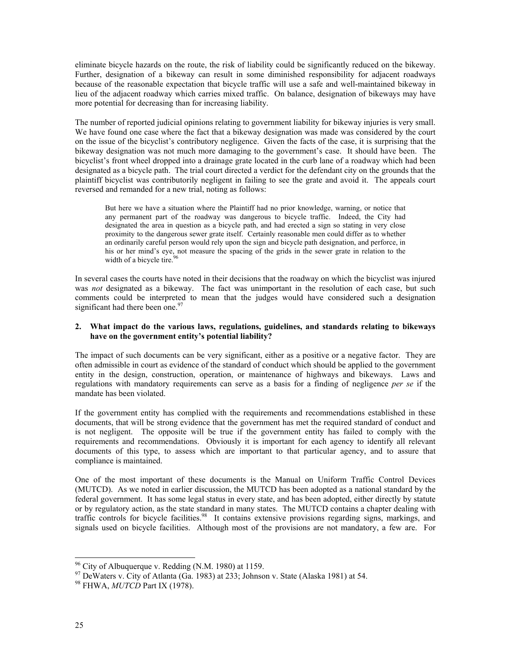eliminate bicycle hazards on the route, the risk of liability could be significantly reduced on the bikeway. Further, designation of a bikeway can result in some diminished responsibility for adjacent roadways because of the reasonable expectation that bicycle traffic will use a safe and well-maintained bikeway in lieu of the adjacent roadway which carries mixed traffic. On balance, designation of bikeways may have more potential for decreasing than for increasing liability.

The number of reported judicial opinions relating to government liability for bikeway injuries is very small. We have found one case where the fact that a bikeway designation was made was considered by the court on the issue of the bicyclist's contributory negligence. Given the facts of the case, it is surprising that the bikeway designation was not much more damaging to the government's case. It should have been. The bicyclist's front wheel dropped into a drainage grate located in the curb lane of a roadway which had been designated as a bicycle path. The trial court directed a verdict for the defendant city on the grounds that the plaintiff bicyclist was contributorily negligent in failing to see the grate and avoid it. The appeals court reversed and remanded for a new trial, noting as follows:

But here we have a situation where the Plaintiff had no prior knowledge, warning, or notice that any permanent part of the roadway was dangerous to bicycle traffic. Indeed, the City had designated the area in question as a bicycle path, and had erected a sign so stating in very close proximity to the dangerous sewer grate itself. Certainly reasonable men could differ as to whether an ordinarily careful person would rely upon the sign and bicycle path designation, and perforce, in his or her mind's eye, not measure the spacing of the grids in the sewer grate in relation to the width of a bicycle tire.<sup>9</sup>

In several cases the courts have noted in their decisions that the roadway on which the bicyclist was injured was *not* designated as a bikeway. The fact was unimportant in the resolution of each case, but such comments could be interpreted to mean that the judges would have considered such a designation significant had there been one.<sup>97</sup>

#### **2. What impact do the various laws, regulations, guidelines, and standards relating to bikeways have on the government entity's potential liability?**

The impact of such documents can be very significant, either as a positive or a negative factor. They are often admissible in court as evidence of the standard of conduct which should be applied to the government entity in the design, construction, operation, or maintenance of highways and bikeways. Laws and regulations with mandatory requirements can serve as a basis for a finding of negligence *per se* if the mandate has been violated.

If the government entity has complied with the requirements and recommendations established in these documents, that will be strong evidence that the government has met the required standard of conduct and is not negligent. The opposite will be true if the government entity has failed to comply with the requirements and recommendations. Obviously it is important for each agency to identify all relevant documents of this type, to assess which are important to that particular agency, and to assure that compliance is maintained.

One of the most important of these documents is the Manual on Uniform Traffic Control Devices (MUTCD). As we noted in earlier discussion, the MUTCD has been adopted as a national standard by the federal government. It has some legal status in every state, and has been adopted, either directly by statute or by regulatory action, as the state standard in many states. The MUTCD contains a chapter dealing with traffic controls for bicycle facilities.<sup>98</sup> It contains extensive provisions regarding signs, markings, and signals used on bicycle facilities. Although most of the provisions are not mandatory, a few are. For

<span id="page-27-1"></span><span id="page-27-0"></span>

<sup>&</sup>lt;sup>96</sup> City of Albuquerque v. Redding (N.M. 1980) at 1159.<br><sup>97</sup> DeWaters v. City of Atlanta (Ga. 1983) at 233; Johnson v. State (Alaska 1981) at 54.<br><sup>98</sup> FHWA, *MUTCD* Part IX (1978).

<span id="page-27-2"></span>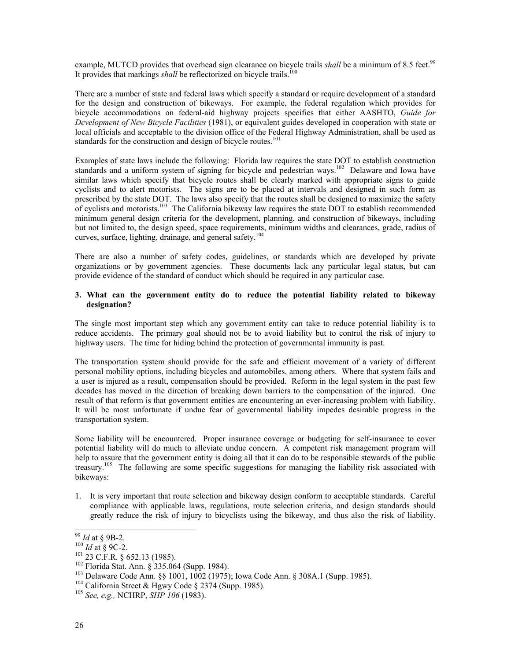example, MUTCD provides that overhead sign clearance on bicycle trails *shall* be a minimum of 8.5 feet.<sup>99</sup> It provides that markings *shall* be reflectorized on bicycle trails.<sup>[100](#page-28-1)</sup>

There are a number of state and federal laws which specify a standard or require development of a standard for the design and construction of bikeways. For example, the federal regulation which provides for bicycle accommodations on federal-aid highway projects specifies that either AASHTO, *Guide for Development of New Bicycle Facilities* (1981), or equivalent guides developed in cooperation with state or local officials and acceptable to the division office of the Federal Highway Administration, shall be used as standards for the construction and design of bicycle routes.<sup>[101](#page-28-2)</sup>

Examples of state laws include the following: Florida law requires the state DOT to establish construction standards and a uniform system of signing for bicycle and pedestrian ways.<sup>102</sup> Delaware and Iowa have similar laws which specify that bicycle routes shall be clearly marked with appropriate signs to guide cyclists and to alert motorists. The signs are to be placed at intervals and designed in such form as prescribed by the state DOT. The laws also specify that the routes shall be designed to maximize the safety of cyclists and motorists.<sup>103</sup> The California bikeway law requires the state DOT to establish recommended minimum general design criteria for the development, planning, and construction of bikeways, including but not limited to, the design speed, space requirements, minimum widths and clearances, grade, radius of curves, surface, lighting, drainage, and general safety.<sup>104</sup>

There are also a number of safety codes, guidelines, or standards which are developed by private organizations or by government agencies. These documents lack any particular legal status, but can provide evidence of the standard of conduct which should be required in any particular case.

#### **3. What can the government entity do to reduce the potential liability related to bikeway designation?**

The single most important step which any government entity can take to reduce potential liability is to reduce accidents. The primary goal should not be to avoid liability but to control the risk of injury to highway users. The time for hiding behind the protection of governmental immunity is past.

The transportation system should provide for the safe and efficient movement of a variety of different personal mobility options, including bicycles and automobiles, among others. Where that system fails and a user is injured as a result, compensation should be provided. Reform in the legal system in the past few decades has moved in the direction of breaking down barriers to the compensation of the injured. One result of that reform is that government entities are encountering an ever-increasing problem with liability. It will be most unfortunate if undue fear of governmental liability impedes desirable progress in the transportation system.

Some liability will be encountered. Proper insurance coverage or budgeting for self-insurance to cover potential liability will do much to alleviate undue concern. A competent risk management program will help to assure that the government entity is doing all that it can do to be responsible stewards of the public treasury.<sup>[105](#page-28-6)</sup> The following are some specific suggestions for managing the liability risk associated with bikeways:

1. It is very important that route selection and bikeway design conform to acceptable standards. Careful compliance with applicable laws, regulations, route selection criteria, and design standards should greatly reduce the risk of injury to bicyclists using the bikeway, and thus also the risk of liability.

<span id="page-28-0"></span>

<span id="page-28-1"></span>

<span id="page-28-2"></span>

<span id="page-28-4"></span><span id="page-28-3"></span>

<sup>&</sup>lt;sup>99</sup> *Id* at § 9B-2.<br><sup>100</sup> *Id* at § 9C-2.<br><sup>101</sup> 23 C.F.R. § 652.13 (1985).<br><sup>102</sup> Florida Stat. Ann. § 335.064 (Supp. 1984).<br><sup>103</sup> Delaware Code Ann. §§ 1001, 1002 (1975); Iowa Code Ann. § 308A.1 (Supp. 1985).<br><sup>104</sup> Califo

<span id="page-28-5"></span>

<span id="page-28-6"></span>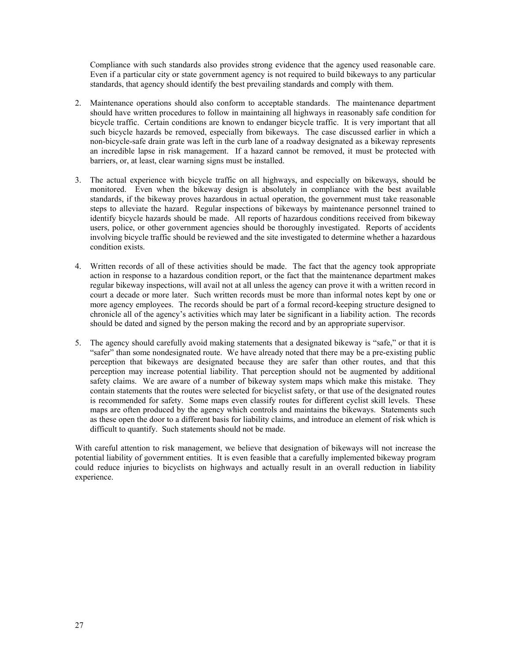Compliance with such standards also provides strong evidence that the agency used reasonable care. Even if a particular city or state government agency is not required to build bikeways to any particular standards, that agency should identify the best prevailing standards and comply with them.

- 2. Maintenance operations should also conform to acceptable standards. The maintenance department should have written procedures to follow in maintaining all highways in reasonably safe condition for bicycle traffic. Certain conditions are known to endanger bicycle traffic. It is very important that all such bicycle hazards be removed, especially from bikeways. The case discussed earlier in which a non-bicycle-safe drain grate was left in the curb lane of a roadway designated as a bikeway represents an incredible lapse in risk management. If a hazard cannot be removed, it must be protected with barriers, or, at least, clear warning signs must be installed.
- 3. The actual experience with bicycle traffic on all highways, and especially on bikeways, should be monitored. Even when the bikeway design is absolutely in compliance with the best available standards, if the bikeway proves hazardous in actual operation, the government must take reasonable steps to alleviate the hazard. Regular inspections of bikeways by maintenance personnel trained to identify bicycle hazards should be made. All reports of hazardous conditions received from bikeway users, police, or other government agencies should be thoroughly investigated. Reports of accidents involving bicycle traffic should be reviewed and the site investigated to determine whether a hazardous condition exists.
- 4. Written records of all of these activities should be made. The fact that the agency took appropriate action in response to a hazardous condition report, or the fact that the maintenance department makes regular bikeway inspections, will avail not at all unless the agency can prove it with a written record in court a decade or more later. Such written records must be more than informal notes kept by one or more agency employees. The records should be part of a formal record-keeping structure designed to chronicle all of the agency's activities which may later be significant in a liability action. The records should be dated and signed by the person making the record and by an appropriate supervisor.
- 5. The agency should carefully avoid making statements that a designated bikeway is "safe," or that it is "safer" than some nondesignated route. We have already noted that there may be a pre-existing public perception that bikeways are designated because they are safer than other routes, and that this perception may increase potential liability. That perception should not be augmented by additional safety claims. We are aware of a number of bikeway system maps which make this mistake. They contain statements that the routes were selected for bicyclist safety, or that use of the designated routes is recommended for safety. Some maps even classify routes for different cyclist skill levels. These maps are often produced by the agency which controls and maintains the bikeways. Statements such as these open the door to a different basis for liability claims, and introduce an element of risk which is difficult to quantify. Such statements should not be made.

With careful attention to risk management, we believe that designation of bikeways will not increase the potential liability of government entities. It is even feasible that a carefully implemented bikeway program could reduce injuries to bicyclists on highways and actually result in an overall reduction in liability experience.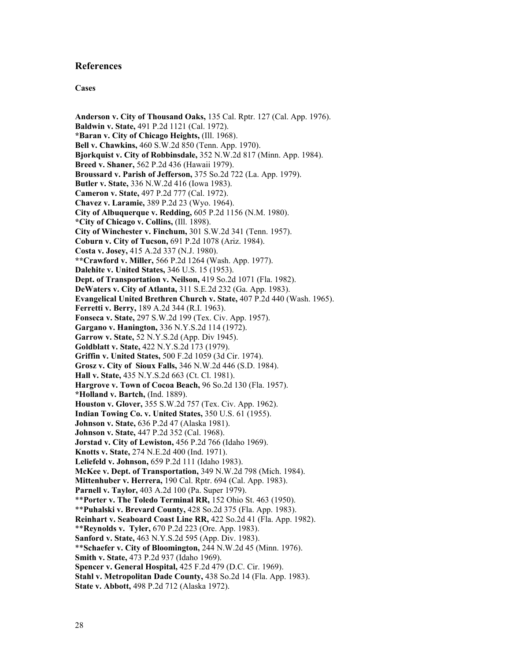### **References**

#### **Cases**

**Anderson v. City of Thousand Oaks,** 135 Cal. Rptr. 127 (Cal. App. 1976). **Baldwin v. State,** 491 P.2d 1121 (Cal. 1972). **\*Baran v. City of Chicago Heights,** (Ill. 1968). **Bell v. Chawkins,** 460 S.W.2d 850 (Tenn. App. 1970). **Bjorkquist v. City of Robbinsdale,** 352 N.W.2d 817 (Minn. App. 1984). **Breed v. Shaner,** 562 P.2d 436 (Hawaii 1979). **Broussard v. Parish of Jefferson,** 375 So.2d 722 (La. App. 1979). **Butler v. State,** 336 N.W.2d 416 (Iowa 1983). **Cameron v. State,** 497 P.2d 777 (Cal. 1972). **Chavez v. Laramie,** 389 P.2d 23 (Wyo. 1964). **City of Albuquerque v. Redding,** 605 P.2d 1156 (N.M. 1980). **\*City of Chicago v. Collins,** (Ill. 1898). **City of Winchester v. Finchum,** 301 S.W.2d 341 (Tenn. 1957). **Coburn v. City of Tucson,** 691 P.2d 1078 (Ariz. 1984). **Costa v. Josey,** 415 A.2d 337 (N.J. 1980). **\*\*Crawford v. Miller,** 566 P.2d 1264 (Wash. App. 1977). **Dalehite v. United States,** 346 U.S. 15 (1953). **Dept. of Transportation v. Neilson,** 419 So.2d 1071 (Fla. 1982). **DeWaters v. City of Atlanta,** 311 S.E.2d 232 (Ga. App. 1983). **Evangelical United Brethren Church v. State,** 407 P.2d 440 (Wash. 1965). **Ferretti v. Berry,** 189 A.2d 344 (R.I. 1963). **Fonseca v. State,** 297 S.W.2d 199 (Tex. Civ. App. 1957). **Gargano v. Hanington,** 336 N.Y.S.2d 114 (1972). **Garrow v. State,** 52 N.Y.S.2d (App. Div 1945). **Goldblatt v. State,** 422 N.Y.S.2d 173 (1979). **Griffin v. United States,** 500 F.2d 1059 (3d Cir. 1974). **Grosz v. City of Sioux Falls,** 346 N.W.2d 446 (S.D. 1984). **Hall v. State,** 435 N.Y.S.2d 663 (Ct. Cl. 1981). **Hargrove v. Town of Cocoa Beach,** 96 So.2d 130 (Fla. 1957). **\*Holland v. Bartch,** (Ind. 1889). **Houston v. Glover,** 355 S.W.2d 757 (Tex. Civ. App. 1962). **Indian Towing Co. v. United States,** 350 U.S. 61 (1955). **Johnson v. State,** 636 P.2d 47 (Alaska 1981). **Johnson v. State,** 447 P.2d 352 (Cal. 1968). **Jorstad v. City of Lewiston,** 456 P.2d 766 (Idaho 1969). **Knotts v. State,** 274 N.E.2d 400 (Ind. 1971). **Leliefeld v. Johnson,** 659 P.2d 111 (Idaho 1983). **McKee v. Dept. of Transportation,** 349 N.W.2d 798 (Mich. 1984). **Mittenhuber v. Herrera,** 190 Cal. Rptr. 694 (Cal. App. 1983). **Parnell v. Taylor,** 403 A.2d 100 (Pa. Super 1979). \*\***Porter v. The Toledo Terminal RR,** 152 Ohio St. 463 (1950). \*\***Puhalski v. Brevard County,** 428 So.2d 375 (Fla. App. 1983). **Reinhart v. Seaboard Coast Line RR,** 422 So.2d 41 (Fla. App. 1982). \*\***Reynolds v. Tyler,** 670 P.2d 223 (Ore. App. 1983). **Sanford v. State,** 463 N.Y.S.2d 595 (App. Div. 1983). \*\***Schaefer v. City of Bloomington,** 244 N.W.2d 45 (Minn. 1976). **Smith v. State,** 473 P.2d 937 (Idaho 1969). **Spencer v. General Hospital,** 425 F.2d 479 (D.C. Cir. 1969). **Stahl v. Metropolitan Dade County,** 438 So.2d 14 (Fla. App. 1983). **State v. Abbott,** 498 P.2d 712 (Alaska 1972).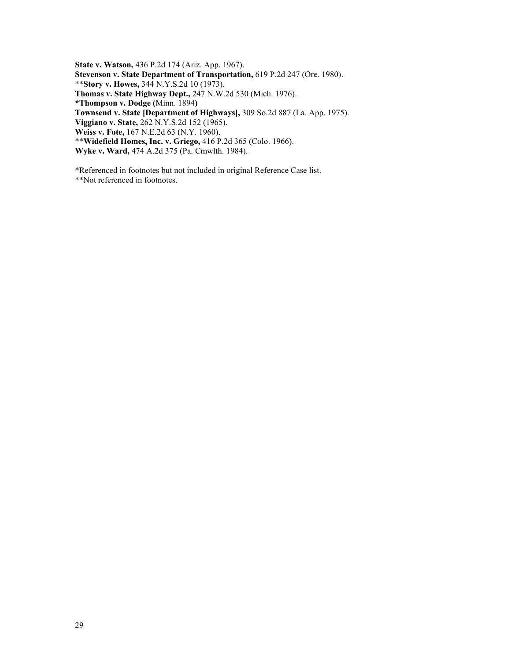**State v. Watson,** 436 P.2d 174 (Ariz. App. 1967). **Stevenson v. State Department of Transportation,** 619 P.2d 247 (Ore. 1980). \*\***Story v. Howes,** 344 N.Y.S.2d 10 (1973). **Thomas v. State Highway Dept.,** 247 N.W.2d 530 (Mich. 1976). **\*Thompson v. Dodge (**Minn. 1894**) Townsend v. State [Department of Highways],** 309 So.2d 887 (La. App. 1975). **Viggiano v. State,** 262 N.Y.S.2d 152 (1965). **Weiss v. Fote,** 167 N.E.2d 63 (N.Y. 1960). \*\***Widefield Homes, Inc. v. Griego,** 416 P.2d 365 (Colo. 1966).

**Wyke v. Ward,** 474 A.2d 375 (Pa. Cmwlth. 1984).

\*Referenced in footnotes but not included in original Reference Case list.

\*\*Not referenced in footnotes.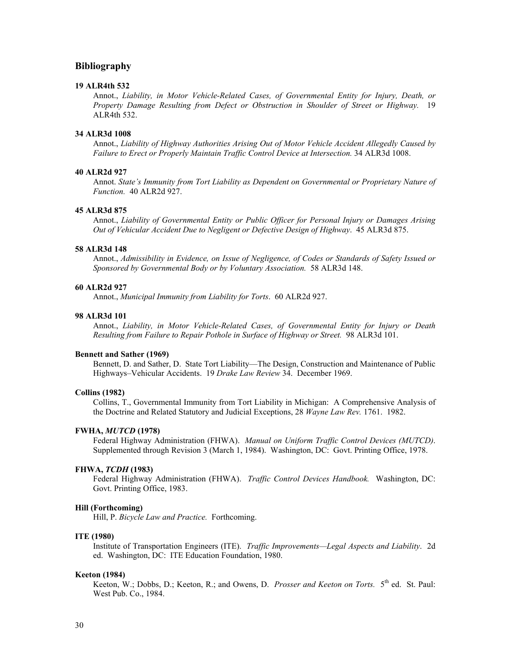### **Bibliography**

#### **19 ALR4th 532**

Annot., *Liability, in Motor Vehicle-Related Cases, of Governmental Entity for Injury, Death, or Property Damage Resulting from Defect or Obstruction in Shoulder of Street or Highway.* 19 ALR4th 532.

#### **34 ALR3d 1008**

Annot., *Liability of Highway Authorities Arising Out of Motor Vehicle Accident Allegedly Caused by Failure to Erect or Properly Maintain Traffic Control Device at Intersection.* 34 ALR3d 1008.

#### **40 ALR2d 927**

Annot. *State's Immunity from Tort Liability as Dependent on Governmental or Proprietary Nature of Function.* 40 ALR2d 927.

#### **45 ALR3d 875**

Annot., *Liability of Governmental Entity or Public Officer for Personal Injury or Damages Arising Out of Vehicular Accident Due to Negligent or Defective Design of Highway*.45 ALR3d 875.

#### **58 ALR3d 148**

Annot., *Admissibility in Evidence, on Issue of Negligence, of Codes or Standards of Safety Issued or Sponsored by Governmental Body or by Voluntary Association.* 58 ALR3d 148.

#### **60 ALR2d 927**

Annot., *Municipal Immunity from Liability for Torts*. 60 ALR2d 927.

#### **98 ALR3d 101**

Annot., *Liability, in Motor Vehicle-Related Cases, of Governmental Entity for Injury or Death Resulting from Failure to Repair Pothole in Surface of Highway or Street.* 98 ALR3d 101.

#### **Bennett and Sather (1969)**

Bennett, D. and Sather, D. State Tort Liability—The Design, Construction and Maintenance of Public Highways–Vehicular Accidents. 19 *Drake Law Review* 34. December 1969.

#### **Collins (1982)**

Collins, T., Governmental Immunity from Tort Liability in Michigan: A Comprehensive Analysis of the Doctrine and Related Statutory and Judicial Exceptions, 28 *Wayne Law Rev.* 1761. 1982.

#### **FWHA,** *MUTCD* **(1978)**

Federal Highway Administration (FHWA). *Manual on Uniform Traffic Control Devices (MUTCD)*. Supplemented through Revision 3 (March 1, 1984). Washington, DC: Govt. Printing Office, 1978.

#### **FHWA,** *TCDH* **(1983)**

Federal Highway Administration (FHWA). *Traffic Control Devices Handbook.* Washington, DC: Govt. Printing Office, 1983.

#### **Hill (Forthcoming)**

Hill, P. *Bicycle Law and Practice*. Forthcoming.

#### **ITE (1980)**

Institute of Transportation Engineers (ITE). *Traffic Improvements—Legal Aspects and Liability*. 2d ed. Washington, DC: ITE Education Foundation, 1980.

#### **Keeton (1984)**

Keeton, W.; Dobbs, D.; Keeton, R.; and Owens, D. *Prosser and Keeton on Torts.* 5<sup>th</sup> ed. St. Paul: West Pub. Co., 1984.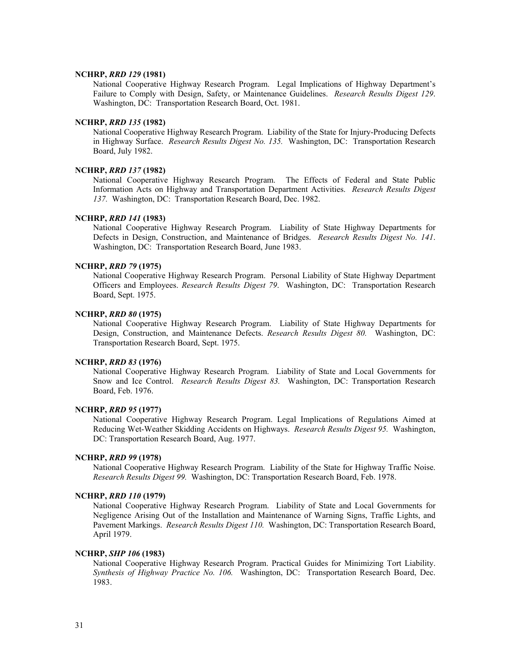#### **NCHRP,** *RRD 129* **(1981)**

National Cooperative Highway Research Program. Legal Implications of Highway Department's Failure to Comply with Design, Safety, or Maintenance Guidelines. *Research Results Digest 129*. Washington, DC: Transportation Research Board, Oct. 1981.

#### **NCHRP,** *RRD 135* **(1982)**

National Cooperative Highway Research Program. Liability of the State for Injury-Producing Defects in Highway Surface. *Research Results Digest No. 135.* Washington, DC: Transportation Research Board, July 1982.

#### **NCHRP,** *RRD 137* **(1982)**

National Cooperative Highway Research Program. The Effects of Federal and State Public Information Acts on Highway and Transportation Department Activities. *Research Results Digest 137.* Washington, DC: Transportation Research Board, Dec. 1982.

#### **NCHRP,** *RRD 141* **(1983)**

National Cooperative Highway Research Program. Liability of State Highway Departments for Defects in Design, Construction, and Maintenance of Bridges. *Research Results Digest No. 141*. Washington, DC: Transportation Research Board, June 1983.

#### **NCHRP,** *RRD 79* **(1975)**

National Cooperative Highway Research Program. Personal Liability of State Highway Department Officers and Employees. *Research Results Digest 79*. Washington, DC: Transportation Research Board, Sept. 1975.

#### **NCHRP,** *RRD 80* **(1975)**

National Cooperative Highway Research Program. Liability of State Highway Departments for Design, Construction, and Maintenance Defects. *Research Results Digest 80.* Washington, DC: Transportation Research Board, Sept. 1975.

#### **NCHRP,** *RRD 83* **(1976)**

National Cooperative Highway Research Program. Liability of State and Local Governments for Snow and Ice Control. *Research Results Digest 83.* Washington, DC: Transportation Research Board, Feb. 1976.

### **NCHRP,** *RRD 95* **(1977)**

National Cooperative Highway Research Program. Legal Implications of Regulations Aimed at Reducing Wet-Weather Skidding Accidents on Highways. *Research Results Digest 95.* Washington, DC: Transportation Research Board, Aug. 1977.

#### **NCHRP,** *RRD 99* **(1978)**

National Cooperative Highway Research Program. Liability of the State for Highway Traffic Noise. *Research Results Digest 99.* Washington, DC: Transportation Research Board, Feb. 1978.

#### **NCHRP,** *RRD 110* **(1979)**

National Cooperative Highway Research Program. Liability of State and Local Governments for Negligence Arising Out of the Installation and Maintenance of Warning Signs, Traffic Lights, and Pavement Markings. *Research Results Digest 110.* Washington, DC: Transportation Research Board, April 1979.

#### **NCHRP,** *SHP 106* **(1983)**

National Cooperative Highway Research Program. Practical Guides for Minimizing Tort Liability. *Synthesis of Highway Practice No. 106.* Washington, DC: Transportation Research Board, Dec. 1983.